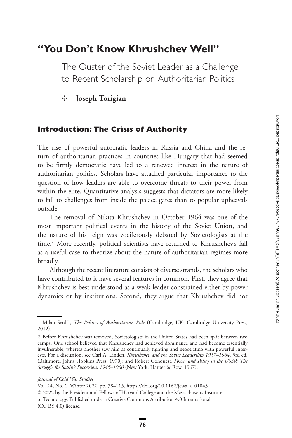# **"You Don't Know Khrushchev Well"**

The Ouster of the Soviet Leader as a Challenge to Recent Scholarship on Authoritarian Politics

✣ **Joseph Torigian**

## **Introduction: The Crisis of Authority**

The rise of powerful autocratic leaders in Russia and China and the return of authoritarian practices in countries like Hungary that had seemed to be firmly democratic have led to a renewed interest in the nature of authoritarian politics. Scholars have attached particular importance to the question of how leaders are able to overcome threats to their power from within the elite. Quantitative analysis suggests that dictators are more likely to fall to challenges from inside the palace gates than to popular upheavals outside.<sup>1</sup>

The removal of Nikita Khrushchev in October 1964 was one of the most important political events in the history of the Soviet Union, and the nature of his reign was vociferously debated by Sovietologists at the time.<sup>2</sup> More recently, political scientists have returned to Khrushchev's fall as a useful case to theorize about the nature of authoritarian regimes more broadly.

Although the recent literature consists of diverse strands, the scholars who have contributed to it have several features in common. First, they agree that Khrushchev is best understood as a weak leader constrained either by power dynamics or by institutions. Second, they argue that Khrushchev did not

Vol. 24, No. 1, Winter 2022, pp. 78–115, [https://doi.org/10.1162/jcws\\_a\\_01043](https://doi.org/10.1162/jcws_a_01043) © 2022 by the President and Fellows of Harvard College and the Massachusetts Institute of Technology. Published under a Creative Commons Attribution 4.0 International (CC BY 4.0) license.

<span id="page-0-0"></span><sup>1.</sup> Milan Svolik, *The Politics of Authoritarian Rule* (Cambridge, UK: Cambridge University Press, 2012).

<span id="page-0-1"></span><sup>2.</sup> Before Khrushchev was removed, Sovietologists in the United States had been split between two camps. One school believed that Khrushchev had achieved dominance and had become essentially invulnerable, whereas another saw him as continually fighting and negotiating with powerful interests. For a discussion, see Carl A. Linden, *Khrushchev and the Soviet Leadership 1957–1964*, 3rd ed. (Baltimore: Johns Hopkins Press, 1970); and Robert Conquest, *Power and Policy in the USSR: The Struggle for Stalin's Succession, 1945–1960* (New York: Harper & Row, 1967).

*Journal of Cold War Studies*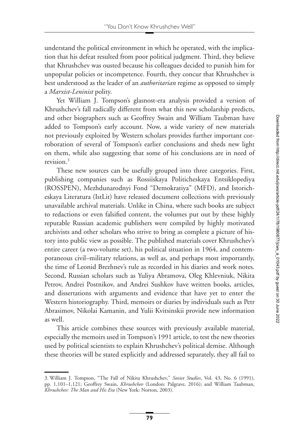understand the political environment in which he operated, with the implication that his defeat resulted from poor political judgment. Third, they believe that Khrushchev was ousted because his colleagues decided to punish him for unpopular policies or incompetence. Fourth, they concur that Khrushchev is best understood as the leader of an *authoritarian* regime as opposed to simply a *Marxist-Leninist* polity.

Yet William J. Tompson's glasnost-era analysis provided a version of Khrushchev's fall radically different from what this new scholarship predicts, and other biographers such as Geoffrey Swain and William Taubman have added to Tompson's early account. Now, a wide variety of new materials not previously exploited by Western scholars provides further important corroboration of several of Tompson's earlier conclusions and sheds new light on them, while also suggesting that some of his conclusions are in need of revision[.3](#page-1-0)

These new sources can be usefully grouped into three categories. First, publishing companies such as Rossiiskaya Politicheskaya Entsiklopediya (ROSSPEN), Mezhdunarodnyi Fond "Demokratiya" (MFD), and Istoricheskaya Literatura (IstLit) have released document collections with previously unavailable archival materials. Unlike in China, where such books are subject to redactions or even falsified content, the volumes put out by these highly reputable Russian academic publishers were compiled by highly motivated archivists and other scholars who strive to bring as complete a picture of history into public view as possible. The published materials cover Khrushchev's entire career (a two-volume set), his political situation in 1964, and contemporaneous civil–military relations, as well as, and perhaps most importantly, the time of Leonid Brezhnev's rule as recorded in his diaries and work notes. Second, Russian scholars such as Yuliya Abramova, Oleg Khlevniuk, Nikita Petrov, Andrei Postnikov, and Andrei Sushkov have written books, articles, and dissertations with arguments and evidence that have yet to enter the Western historiography. Third, memoirs or diaries by individuals such as Petr Abrasimov, Nikolai Kamanin, and Yulii Kvitsinskii provide new information as well.

This article combines these sources with previously available material, especially the memoirs used in Tompson's 1991 article, to test the new theories used by political scientists to explain Khrushchev's political demise. Although these theories will be stated explicitly and addressed separately, they all fail to

<span id="page-1-0"></span><sup>3.</sup> William J. Tompson, "The Fall of Nikita Khrushchev," *Soviet Studies*, Vol. 43, No. 6 (1991), pp. 1,101–1,121; Geoffrey Swain, *Khrushchev* (London: Palgrave, 2016); and William Taubman, *Khrushchev: The Man and His Era* (New York: Norton, 2003).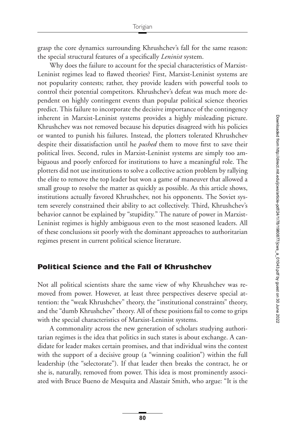grasp the core dynamics surrounding Khrushchev's fall for the same reason: the special structural features of a specifically *Leninist* system.

Why does the failure to account for the special characteristics of Marxist-Leninist regimes lead to flawed theories? First, Marxist-Leninist systems are not popularity contests; rather, they provide leaders with powerful tools to control their potential competitors. Khrushchev's defeat was much more dependent on highly contingent events than popular political science theories predict. This failure to incorporate the decisive importance of the contingency inherent in Marxist-Leninist systems provides a highly misleading picture. Khrushchev was not removed because his deputies disagreed with his policies or wanted to punish his failures. Instead, the plotters tolerated Khrushchev despite their dissatisfaction until he *pushed* them to move first to save their political lives. Second, rules in Marxist-Leninist systems are simply too ambiguous and poorly enforced for institutions to have a meaningful role. The plotters did not use institutions to solve a collective action problem by rallying the elite to remove the top leader but won a game of maneuver that allowed a small group to resolve the matter as quickly as possible. As this article shows, institutions actually favored Khrushchev, not his opponents. The Soviet system severely constrained their ability to act collectively. Third, Khrushchev's behavior cannot be explained by "stupidity." The nature of power in Marxist-Leninist regimes is highly ambiguous even to the most seasoned leaders. All of these conclusions sit poorly with the dominant approaches to authoritarian regimes present in current political science literature.

#### **Political Science and the Fall of Khrushchev**

Not all political scientists share the same view of why Khrushchev was removed from power. However, at least three perspectives deserve special attention: the "weak Khrushchev" theory, the "institutional constraints" theory, and the "dumb Khrushchev" theory. All of these positions fail to come to grips with the special characteristics of Marxist-Leninist systems.

A commonality across the new generation of scholars studying authoritarian regimes is the idea that politics in such states is about exchange. A candidate for leader makes certain promises, and that individual wins the contest with the support of a decisive group (a "winning coalition") within the full leadership (the "selectorate"). If that leader then breaks the contract, he or she is, naturally, removed from power. This idea is most prominently associated with Bruce Bueno de Mesquita and Alastair Smith, who argue: "It is the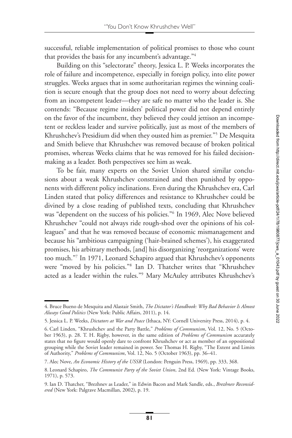successful, reliable implementation of political promises to those who count that provides the basis for any incumbent's advantage.["4](#page-3-0)

Building on this "selectorate" theory, Jessica L. P. Weeks incorporates the role of failure and incompetence, especially in foreign policy, into elite power struggles. Weeks argues that in some authoritarian regimes the winning coalition is secure enough that the group does not need to worry about defecting from an incompetent leader—they are safe no matter who the leader is. She contends: "Because regime insiders' political power did not depend entirely on the favor of the incumbent, they believed they could jettison an incompetent or reckless leader and survive politically, just as most of the members of Khrushchev's Presidium did when they ousted him as premier.["5](#page-3-1) De Mesquita and Smith believe that Khrushchev was removed because of broken political promises, whereas Weeks claims that he was removed for his failed decisionmaking as a leader. Both perspectives see him as weak.

To be fair, many experts on the Soviet Union shared similar conclusions about a weak Khrushchev constrained and then punished by opponents with different policy inclinations. Even during the Khrushchev era, Carl Linden stated that policy differences and resistance to Khrushchev could be divined by a close reading of published texts, concluding that Khrushchev was "dependent on the success of his policies.["6](#page-3-2) In 1969, Alec Nove believed Khrushchev "could not always ride rough-shod over the opinions of his colleagues" and that he was removed because of economic mismanagement and because his "ambitious campaigning ('hair-brained schemes'), his exaggerated promises, his arbitrary methods, [and] his disorganizing 'reorganizations' were too much.["7](#page-3-3) In 1971, Leonard Schapiro argued that Khrushchev's opponents were "moved by his policies.["8](#page-3-4) Ian D. Thatcher writes that "Khrushchev acted as a leader within the rules.["9](#page-3-5) Mary McAuley attributes Khrushchev's

<span id="page-3-0"></span><sup>4.</sup> Bruce Bueno de Mesquita and Alastair Smith, *The Dictator's Handbook: Why Bad Behavior Is Almost Always Good Politics* (New York: Public Affairs, 2011), p. 14.

<span id="page-3-1"></span><sup>5.</sup> Jessica L. P. Weeks, *Dictators at War and Peace* (Ithaca, NY: Cornell University Press, 2014), p. 4.

<span id="page-3-2"></span><sup>6.</sup> Carl Linden, "Khrushchev and the Party Battle," *Problems of Communism*, Vol. 12, No. 5 (October 1963), p. 28. T. H. Rigby, however, in the same edition of *Problems of Communism* accurately states that no figure would openly dare to confront Khrushchev or act as member of an oppositional grouping while the Soviet leader remained in power. See Thomas H. Rigby, "The Extent and Limits of Authority," *Problems of Communism*, Vol. 12, No. 5 (October 1963), pp. 36–41.

<span id="page-3-3"></span><sup>7.</sup> Alec Nove, *An Economic History of the USSR* (London: Penguin Press, 1969), pp. 333, 368.

<span id="page-3-4"></span><sup>8.</sup> Leonard Schapiro, *The Communist Party of the Soviet Union*, 2nd Ed. (New York: Vintage Books, 1971), p. 573.

<span id="page-3-5"></span><sup>9.</sup> Ian D. Thatcher, "Brezhnev as Leader," in Edwin Bacon and Mark Sandle, eds., *Brezhnev Reconsidered* (New York: Palgrave Macmillan, 2002), p. 19.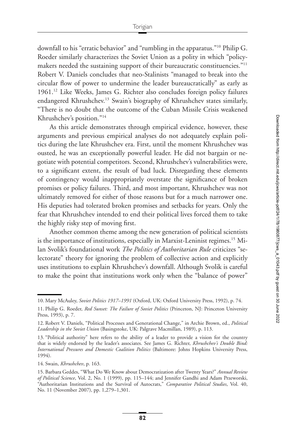downfall to his "erratic behavior" and "rumbling in the apparatus.["10](#page-4-0) Philip G. Roeder similarly characterizes the Soviet Union as a polity in which "policymakers needed the sustaining support of their bureaucratic constituencies."<sup>11</sup> Robert V. Daniels concludes that neo-Stalinists "managed to break into the circular flow of power to undermine the leader bureaucratically" as early as 1961[.12](#page-4-2) Like Weeks, James G. Richter also concludes foreign policy failures endangered Khrushchev.<sup>13</sup> Swain's biography of Khrushchev states similarly, "There is no doubt that the outcome of the Cuban Missile Crisis weakened Khrushchev's position.["14](#page-4-4)

As this article demonstrates through empirical evidence, however, these arguments and previous empirical analyses do not adequately explain politics during the late Khrushchev era. First, until the moment Khrushchev was ousted, he was an exceptionally powerful leader. He did not bargain or negotiate with potential competitors. Second, Khrushchev's vulnerabilities were, to a significant extent, the result of bad luck. Disregarding these elements of contingency would inappropriately overstate the significance of broken promises or policy failures. Third, and most important, Khrushchev was not ultimately removed for either of those reasons but for a much narrower one. His deputies had tolerated broken promises and setbacks for years. Only the fear that Khrushchev intended to end their political lives forced them to take the highly risky step of moving first.

Another common theme among the new generation of political scientists is the importance of institutions, especially in Marxist-Leninist regimes.<sup>15</sup> Milan Svolik's foundational work *The Politics of Authoritarian Rule* criticizes "selectorate" theory for ignoring the problem of collective action and explicitly uses institutions to explain Khrushchev's downfall. Although Svolik is careful to make the point that institutions work only when the "balance of power"

<span id="page-4-0"></span><sup>10.</sup> Mary McAuley, *Soviet Politics 1917–1991* (Oxford, UK: Oxford University Press, 1992), p. 74.

<span id="page-4-1"></span><sup>11.</sup> Philip G. Roeder, *Red Sunset: The Failure of Soviet Politics* (Princeton, NJ: Princeton University Press, 1993), p. 7.

<span id="page-4-2"></span><sup>12.</sup> Robert V. Daniels, "Political Processes and Generational Change," in Archie Brown, ed., *Political Leadership in the Soviet Union* (Basingstoke, UK: Palgrave Macmillan, 1989), p. 113.

<span id="page-4-3"></span><sup>13. &</sup>quot;Political authority" here refers to the ability of a leader to provide a vision for the country that is widely endorsed by the leader's associates. See James G. Richter, *Khrushchev's Double Bind: International Pressures and Domestic Coalition Politics* (Baltimore: Johns Hopkins University Press, 1994).

<span id="page-4-4"></span><sup>14.</sup> Swain, *Khrushchev*, p. 163.

<span id="page-4-5"></span><sup>15.</sup> Barbara Geddes, "What Do We Know about Democratization after Twenty Years?" *Annual Review of Political Science*, Vol. 2, No. 1 (1999), pp. 115–144; and Jennifer Gandhi and Adam Przeworski, "Authoritarian Institutions and the Survival of Autocrats," *Comparative Political Studies*, Vol. 40, No. 11 (November 2007), pp. 1,279–1,301.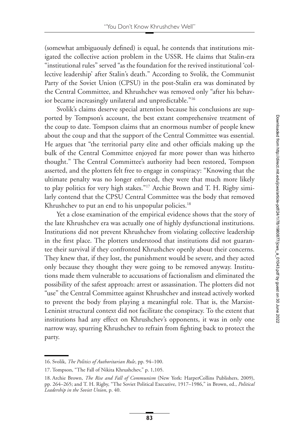(somewhat ambiguously defined) is equal, he contends that institutions mitigated the collective action problem in the USSR. He claims that Stalin-era "institutional rules" served "as the foundation for the revived institutional 'collective leadership' after Stalin's death." According to Svolik, the Communist Party of the Soviet Union (CPSU) in the post-Stalin era was dominated by the Central Committee, and Khrushchev was removed only "after his behavior became increasingly unilateral and unpredictable.["16](#page-5-0)

Svolik's claims deserve special attention because his conclusions are supported by Tompson's account, the best extant comprehensive treatment of the coup to date. Tompson claims that an enormous number of people knew about the coup and that the support of the Central Committee was essential. He argues that "the territorial party elite and other officials making up the bulk of the Central Committee enjoyed far more power than was hitherto thought." The Central Committee's authority had been restored, Tompson asserted, and the plotters felt free to engage in conspiracy: "Knowing that the ultimate penalty was no longer enforced, they were that much more likely to play politics for very high stakes.["17](#page-5-1) Archie Brown and T. H. Rigby similarly contend that the CPSU Central Committee was the body that removed Khrushchev to put an end to his unpopular policies.<sup>18</sup>

Yet a close examination of the empirical evidence shows that the story of the late Khrushchev era was actually one of highly dysfunctional institutions. Institutions did not prevent Khrushchev from violating collective leadership in the first place. The plotters understood that institutions did not guarantee their survival if they confronted Khrushchev openly about their concerns. They knew that, if they lost, the punishment would be severe, and they acted only because they thought they were going to be removed anyway. Institutions made them vulnerable to accusations of factionalism and eliminated the possibility of the safest approach: arrest or assassination. The plotters did not "use" the Central Committee against Khrushchev and instead actively worked to prevent the body from playing a meaningful role. That is, the Marxist-Leninist structural context did not facilitate the conspiracy. To the extent that institutions had any effect on Khrushchev's opponents, it was in only one narrow way, spurring Khrushchev to refrain from fighting back to protect the party.

<span id="page-5-0"></span><sup>16.</sup> Svolik, *The Politics of Authoritarian Rule*, pp. 94–100.

<span id="page-5-1"></span><sup>17.</sup> Tompson, "The Fall of Nikita Khrushchev," p. 1,105.

<span id="page-5-2"></span><sup>18.</sup> Archie Brown, *The Rise and Fall of Communism* (New York: HarperCollins Publishers, 2009), pp. 264–265; and T. H. Rigby, "The Soviet Political Executive, 1917–1986," in Brown, ed., *Political Leadership in the Soviet Union*, p. 40.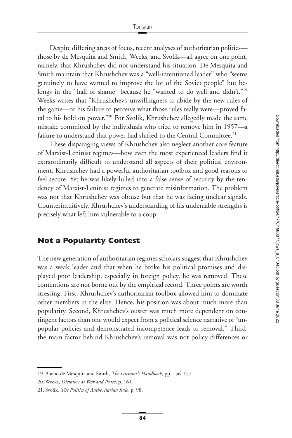Despite differing areas of focus, recent analyses of authoritarian politics those by de Mesquita and Smith, Weeks, and Svolik—all agree on one point, namely, that Khrushchev did not understand his situation. De Mesquita and Smith maintain that Khrushchev was a "well-intentioned leader" who "seems genuinely to have wanted to improve the lot of the Soviet people" but belongs in the "hall of shame" because he "wanted to do well and didn't."<sup>19</sup> Weeks writes that "Khrushchev's unwillingness to abide by the new rules of the game—or his failure to perceive what those rules really were—proved fatal to his hold on power.["20](#page-6-1) For Svolik, Khrushchev allegedly made the same mistake committed by the individuals who tried to remove him in 1957—a failure to understand that power had shifted to the Central Committee.<sup>21</sup>

These disparaging views of Khrushchev also neglect another core feature of Marxist-Leninist regimes—how even the most experienced leaders find it extraordinarily difficult to understand all aspects of their political environment. Khrushchev had a powerful authoritarian toolbox and good reasons to feel secure. Yet he was likely lulled into a false sense of security by the tendency of Marxist-Leninist regimes to generate misinformation. The problem was not that Khrushchev was obtuse but that he was facing unclear signals. Counterintuitively, Khrushchev's understanding of his undeniable strengths is precisely what left him vulnerable to a coup.

#### **Not a Popularity Contest**

The new generation of authoritarian regimes scholars suggest that Khrushchev was a weak leader and that when he broke his political promises and displayed poor leadership, especially in foreign policy, he was removed. These contentions are not borne out by the empirical record. Three points are worth stressing. First, Khrushchev's authoritarian toolbox allowed him to dominate other members in the elite. Hence, his position was about much more than popularity. Second, Khrushchev's ouster was much more dependent on contingent factors than one would expect from a political science narrative of "unpopular policies and demonstrated incompetence leads to removal." Third, the main factor behind Khrushchev's removal was not policy differences or

<span id="page-6-0"></span><sup>19.</sup> Bueno de Mesquita and Smith, *The Dictator's Handbook*, pp. 156–157.

<span id="page-6-1"></span><sup>20.</sup> Weeks, *Dictators at War and Peace*, p. 161.

<span id="page-6-2"></span><sup>21.</sup> Svolik, *The Politics of Authoritarian Rule*, p. 98.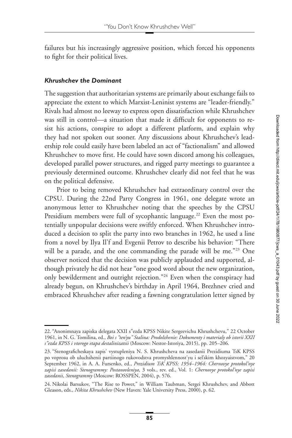failures but his increasingly aggressive position, which forced his opponents to fight for their political lives.

### *Khrushchev the Dominant*

The suggestion that authoritarian systems are primarily about exchange fails to appreciate the extent to which Marxist-Leninist systems are "leader-friendly." Rivals had almost no leeway to express open dissatisfaction while Khrushchev was still in control—a situation that made it difficult for opponents to resist his actions, conspire to adopt a different platform, and explain why they had not spoken out sooner. Any discussions about Khrushchev's leadership role could easily have been labeled an act of "factionalism" and allowed Khrushchev to move first. He could have sown discord among his colleagues, developed parallel power structures, and rigged party meetings to guarantee a previously determined outcome. Khrushchev clearly did not feel that he was on the political defensive.

Prior to being removed Khrushchev had extraordinary control over the CPSU. During the 22nd Party Congress in 1961, one delegate wrote an anonymous letter to Khrushchev noting that the speeches by the CPSU Presidium members were full of sycophantic language.<sup>22</sup> Even the most potentially unpopular decisions were swiftly enforced. When Khrushchev introduced a decision to split the party into two branches in 1962, he used a line from a novel by Ilya Il'f and Evgenii Petrov to describe his behavior: "There will be a parade, and the one commanding the parade will be me."<sup>23</sup> One observer noticed that the decision was publicly applauded and supported, although privately he did not hear "one good word about the new organization, only bewilderment and outright rejection.["24](#page-7-2) Even when the conspiracy had already begun, on Khrushchev's birthday in April 1964, Brezhnev cried and embraced Khrushchev after reading a fawning congratulation letter signed by

<span id="page-7-0"></span><sup>22. &</sup>quot;Anonimnaya zapiska delegata XXII s"ezda KPSS Nikite Sergeevichu Khrushchevu," 22 October 1961, in N. G. Tomilina, ed., *Boi s "ten'yu" Stalina: Prodolzhenie: Dokumenty i materialy ob istorii XXII s"ezda KPSS i vtorogo etapa destalinizatsii* (Moscow: Nestor-Istoriya, 2015), pp. 205–206.

<span id="page-7-1"></span><sup>23. &</sup>quot;Stenograficheskaya zapis' vystupleniya N. S. Khrushcheva na zasedanii Prezidiuma TsK KPSS po voprosu ob uluchshenii partiinogo rukovodstva promyshlennost'yu i sel'skim khozyaistvom," 20 September 1962, in A. A. Fursenko, ed., *Prezidium TsK KPSS: 1954–1964: Chernovye protokol'nye zapisi zasedanii: Stenogrammy: Postanovleniya*, 3 vols., rev. ed., Vol. 1: *Chernovye protokol'nye zapisi zasedanii, Stenogrammy* (Moscow: ROSSPEN, 2004), p. 576.

<span id="page-7-2"></span><sup>24.</sup> Nikolai Barsukov, "The Rise to Power," in William Taubman, Sergei Khrushchev, and Abbott Gleason, eds., *Nikita Khrushchev* (New Haven: Yale University Press, 2000), p. 62.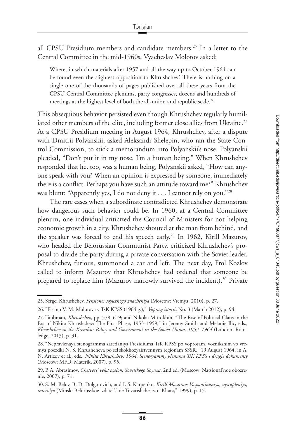all CPSU Presidium members and candidate members.<sup>25</sup> In a letter to the Central Committee in the mid-1960s, Vyacheslav Molotov asked:

Where, in which materials after 1957 and all the way up to October 1964 can be found even the slightest opposition to Khrushchev? There is nothing on a single one of the thousands of pages published over all these years from the CPSU Central Committee plenums, party congresses, dozens and hundreds of meetings at the highest level of both the all-union and republic scale.<sup>26</sup>

This obsequious behavior persisted even though Khrushchev regularly humiliated other members of the elite, including former close allies from Ukraine.<sup>27</sup> At a CPSU Presidium meeting in August 1964, Khrushchev, after a dispute with Dmitrii Polyanskii, asked Aleksandr Shelepin, who ran the State Control Commission, to stick a memorandum into Polyanskii's nose. Polyanskii pleaded, "Don't put it in my nose. I'm a human being." When Khrushchev responded that he, too, was a human being, Polyanskii asked, "How can anyone speak with you? When an opinion is expressed by someone, immediately there is a conflict. Perhaps you have such an attitude toward me?" Khrushchev was blunt: "Apparently yes, I do not deny it . . . I cannot rely on you.["28](#page-8-3)

The rare cases when a subordinate contradicted Khrushchev demonstrate how dangerous such behavior could be. In 1960, at a Central Committee plenum, one individual criticized the Council of Ministers for not helping economic growth in a city. Khrushchev shouted at the man from behind, and the speaker was forced to end his speech early.<sup>29</sup> In 1962, Kirill Mazurov, who headed the Belorussian Communist Party, criticized Khrushchev's proposal to divide the party during a private conversation with the Soviet leader. Khrushchev, furious, summoned a car and left. The next day, Frol Kozlov called to inform Mazurov that Khrushchev had ordered that someone be prepared to replace him (Mazurov narrowly survived the incident).<sup>30</sup> Private

<span id="page-8-0"></span><sup>25.</sup> Sergei Khrushchev, *Pensioner soyuznogo znacheniya* (Moscow: Vremya, 2010), p. 27.

<span id="page-8-1"></span><sup>26. &</sup>quot;Pis'mo V. M. Molotova v TsK KPSS (1964 g.)," *Voprosy istorii*, No. 3 (March 2012), p. 94.

<span id="page-8-2"></span><sup>27.</sup> Taubman, *Khrushchev*, pp. 578–619; and Nikolai Mitrokhin, "The Rise of Political Clans in the Era of Nikita Khrushchev: The First Phase, 1953–1959," in Jeremy Smith and Melanie Ilic, eds., *Khrushchev in the Kremlin: Policy and Government in the Soviet Union, 1953–1964* (London: Routledge, 2013), p. 31.

<span id="page-8-3"></span><sup>28. &</sup>quot;Nepravlenaya stenogramma zasedaniya Prezidiuma TsK KPSS po voprosam, voznikshim vo vremya poezdki N. S. Khrushcheva po sel'skokhozyaistvennym regionam SSSR," 19 August 1964, in A. N. Artizov et al., eds., *Nikita Khrushchev: 1964: Stenogrammy plenuma TsK KPSS i drugie dokumenty* (Moscow: MFD: Materik, 2007), p. 95.

<span id="page-8-4"></span><sup>29.</sup> P. A. Abrasimov, *Chetvert' veka poslom Sovetskogo Soyuza*, 2nd ed. (Moscow: Natsional'noe obozrenie, 2007), p. 71.

<span id="page-8-5"></span><sup>30.</sup> S. M. Belov, B. D. Dolgotovich, and I. S. Karpenko, *Kirill Mazurov: Vospominaniya, vystupleniya, interv'yu* (Minsk: Belorusskoe izdatel'skoe Tovarishchestvo "Khata," 1999), p. 15.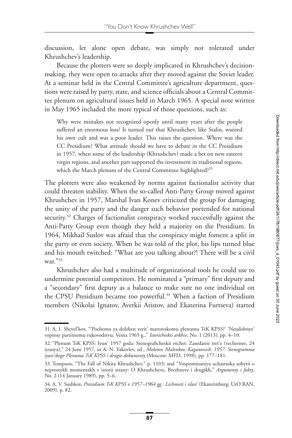discussion, let alone open debate, was simply not tolerated under Khrushchev's leadership.

Because the plotters were so deeply implicated in Khrushchev's decisionmaking, they were open to attacks after they moved against the Soviet leader. At a seminar held in the Central Committee's agriculture department, questions were raised by party, state, and science officials about a Central Committee plenum on agricultural issues held in March 1965. A special note written in May 1965 included the more typical of those questions, such as:

Why were mistakes not recognized openly until many years after the people suffered an enormous loss? It turned out that Khrushchev, like Stalin, wanted his own cult and was a poor leader. This raises the question. Where was the CC Presidium? What attitude should we have to debate in the CC Presidium in 1957, when some of the leadership (Khrushchev) made a bet on new eastern virgin regions, and another part supported the investment in traditional regions, which the March plenum of the Central Committee highlighted?<sup>[31](#page-9-0)</sup>

The plotters were also weakened by norms against factionalist activity that could threaten stability. When the so-called Anti-Party Group moved against Khrushchev in 1957, Marshal Ivan Konev criticized the group for damaging the unity of the party and the danger such behavior portended for national security.<sup>32</sup> Charges of factionalist conspiracy worked successfully against the Anti-Party Group even though they held a majority on the Presidium. In 1964, Mikhail Suslov was afraid that the conspiracy might foment a split in the party or even society. When he was told of the plot, his lips turned blue and his mouth twitched: "What are you talking about?! There will be a civil war.["33](#page-9-2)

Khrushchev also had a multitude of organizational tools he could use to undermine potential competitors. He nominated a "primary" first deputy and a "secondary" first deputy as a balance to make sure no one individual on the CPSU Presidium became too powerful.<sup>34</sup> When a faction of Presidium members (Nikolai Ignatov, Averkii Aristov, and Ekaterina Furtseva) started

<span id="page-9-0"></span><sup>31.</sup> A. I. Shevel'kov, "'Pochemu ya dolzhen verit' martovskomu plenumu TsK KPSS?' 'Neudobnye' voprosy partiinomu rukovodstvu: Vesna 1965 g.," *Istoricheskii arkhiv*, No. 1 (2013), pp. 4–10.

<span id="page-9-1"></span><sup>32. &</sup>quot;Plenum TsK KPSS: Iyun' 1957 goda: Stenograficheskii otchet: Zasedanie tret'e (vechernee, 24 iyunya)," 24 June 1957, in A. N. Yakovlev, ed., *Molotov, Malenkov, Kaganovich: 1957: Stenogramma iyun'skogo Plenuma TsK KPSS i drugie dokumenty* (Moscow: MFD, 1998), pp. 177–181.

<span id="page-9-2"></span><sup>33.</sup> Tompson, "The Fall of Nikita Khrushchev," p. 1103; and "Vospominaniya uchastnika sobytii o neprostykh momentakh v istorii strany: O Khrushcheve, Brezhneve i drugikh," *Argumenty i fakty*, No. 2 (14 January 1989), pp. 5–6.

<span id="page-9-3"></span><sup>34.</sup> A. V. Sushkov, *Prezidium TsK KPSS v 1957–1964 gg.: Lichnosti i vlast'* (Ekaterinburg: UrO RAN, 2009), p. 82.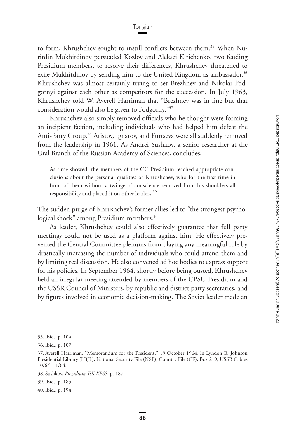to form, Khrushchev sought to instill conflicts between them.<sup>35</sup> When Nuritdin Mukhitdinov persuaded Kozlov and Aleksei Kirichenko, two feuding Presidium members, to resolve their differences, Khrushchev threatened to exile Mukhitdinov by sending him to the United Kingdom as ambassador.<sup>36</sup> Khrushchev was almost certainly trying to set Brezhnev and Nikolai Podgornyi against each other as competitors for the succession. In July 1963, Khrushchev told W. Averell Harriman that "Brezhnev was in line but that consideration would also be given to Podgorny.["37](#page-10-2)

Khrushchev also simply removed officials who he thought were forming an incipient faction, including individuals who had helped him defeat the Anti-Party Group.<sup>38</sup> Aristov, Ignatov, and Furtseva were all suddenly removed from the leadership in 1961. As Andrei Sushkov, a senior researcher at the Ural Branch of the Russian Academy of Sciences, concludes,

As time showed, the members of the CC Presidium reached appropriate conclusions about the personal qualities of Khrushchev, who for the first time in front of them without a twinge of conscience removed from his shoulders all responsibility and placed it on other leaders.<sup>[39](#page-10-4)</sup>

The sudden purge of Khrushchev's former allies led to "the strongest psychological shock" among Presidium members.<sup>40</sup>

As leader, Khrushchev could also effectively guarantee that full party meetings could not be used as a platform against him. He effectively prevented the Central Committee plenums from playing any meaningful role by drastically increasing the number of individuals who could attend them and by limiting real discussion. He also convened ad hoc bodies to express support for his policies. In September 1964, shortly before being ousted, Khrushchev held an irregular meeting attended by members of the CPSU Presidium and the USSR Council of Ministers, by republic and district party secretaries, and by figures involved in economic decision-making. The Soviet leader made an

<span id="page-10-0"></span><sup>35.</sup> Ibid., p. 104.

<span id="page-10-1"></span><sup>36.</sup> Ibid., p. 107.

<span id="page-10-2"></span><sup>37.</sup> Averell Harriman, "Memorandum for the President," 19 October 1964, in Lyndon B. Johnson Presidential Library (LBJL), National Security File (NSF), Country File (CF), Box 219, USSR Cables 10/64–11/64.

<span id="page-10-3"></span><sup>38.</sup> Sushkov, *Prezidium TsK KPSS*, p. 187.

<span id="page-10-4"></span><sup>39.</sup> Ibid., p. 185.

<span id="page-10-5"></span><sup>40.</sup> Ibid., p. 194.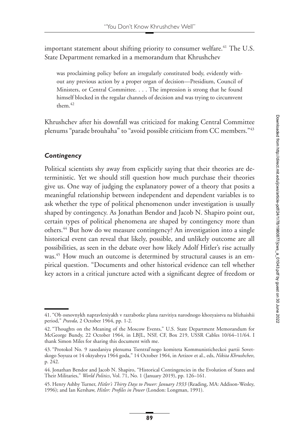important statement about shifting priority to consumer welfare.<sup>41</sup> The U.S. State Department remarked in a memorandum that Khrushchev

was proclaiming policy before an irregularly constituted body, evidently without any previous action by a proper organ of decision—Presidium, Council of Ministers, or Central Committee. . . . The impression is strong that he found himself blocked in the regular channels of decision and was trying to circumvent them[.42](#page-11-1)

Khrushchev after his downfall was criticized for making Central Committee plenums "parade brouhaha" to "avoid possible criticism from CC members.["43](#page-11-2)

## *Contingency*

Political scientists shy away from explicitly saying that their theories are deterministic. Yet we should still question how much purchase their theories give us. One way of judging the explanatory power of a theory that posits a meaningful relationship between independent and dependent variables is to ask whether the type of political phenomenon under investigation is usually shaped by contingency. As Jonathan Bendor and Jacob N. Shapiro point out, certain types of political phenomena are shaped by contingency more than others.<sup>44</sup> But how do we measure contingency? An investigation into a single historical event can reveal that likely, possible, and unlikely outcome are all possibilities, as seen in the debate over how likely Adolf Hitler's rise actually was.<sup>45</sup> How much an outcome is determined by structural causes is an empirical question. "Documents and other historical evidence can tell whether key actors in a critical juncture acted with a significant degree of freedom or

<span id="page-11-0"></span><sup>41. &</sup>quot;Ob osnovnykh napravleniyakh v razrabotke plana razvitiya narodnogo khozyaistva na blizhaishii period," *Pravda*, 2 October 1964, pp. 1-2.

<span id="page-11-1"></span><sup>42. &</sup>quot;Thoughts on the Meaning of the Moscow Events," U.S. State Department Memorandum for McGeorge Bundy, 22 October 1964, in LBJL, NSF, CF, Box 219, USSR Cables 10/64–11/64. I thank Simon Miles for sharing this document with me.

<span id="page-11-2"></span><sup>43. &</sup>quot;Protokol No. 9 zasedaniya plenuma Tsentral'nogo komiteta Kommunisticheckoi partii Sovetskogo Soyuza ot 14 oktyabrya 1964 goda," 14 October 1964, in Artizov et al., eds, *Nikita Khrushchev*, p. 242.

<span id="page-11-3"></span><sup>44.</sup> Jonathan Bendor and Jacob N. Shapiro, "Historical Contingencies in the Evolution of States and Their Militaries," *World Politics*, Vol. 71, No. 1 (January 2019), pp. 126–161.

<span id="page-11-4"></span><sup>45.</sup> Henry Ashby Turner, *Hitler's Thirty Days to Power: January 1933* (Reading, MA: Addison-Wesley, 1996); and Ian Kershaw, *Hitler: Profiles in Power* (London: Longman, 1991).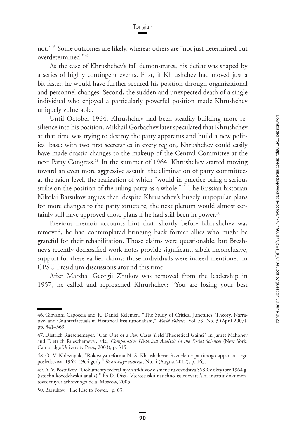not.["46](#page-12-0) Some outcomes are likely, whereas others are "not just determined but overdetermined.["47](#page-12-1)

As the case of Khrushchev's fall demonstrates, his defeat was shaped by a series of highly contingent events. First, if Khrushchev had moved just a bit faster, he would have further secured his position through organizational and personnel changes. Second, the sudden and unexpected death of a single individual who enjoyed a particularly powerful position made Khrushchev uniquely vulnerable.

Until October 1964, Khrushchev had been steadily building more resilience into his position. Mikhail Gorbachev later speculated that Khrushchev at that time was trying to destroy the party apparatus and build a new political base: with two first secretaries in every region, Khrushchev could easily have made drastic changes to the makeup of the Central Committee at the next Party Congress[.48](#page-12-2) In the summer of 1964, Khrushchev started moving toward an even more aggressive assault: the elimination of party committees at the raion level, the realization of which "would in practice bring a serious strike on the position of the ruling party as a whole."<sup>49</sup> The Russian historian Nikolai Barsukov argues that, despite Khrushchev's hugely unpopular plans for more changes to the party structure, the next plenum would almost certainly still have approved those plans if he had still been in power.<sup>50</sup>

Previous memoir accounts hint that, shortly before Khrushchev was removed, he had contemplated bringing back former allies who might be grateful for their rehabilitation. Those claims were questionable, but Brezhnev's recently declassified work notes provide significant, albeit inconclusive, support for these earlier claims: those individuals were indeed mentioned in CPSU Presidium discussions around this time.

After Marshal Georgii Zhukov was removed from the leadership in 1957, he called and reproached Khrushchev: "You are losing your best

<span id="page-12-0"></span><sup>46.</sup> Giovanni Capoccia and R. Daniel Kelemen, "The Study of Critical Junctures: Theory, Narrative, and Counterfactuals in Historical Institutionalism," *World Politics*, Vol. 59, No. 3 (April 2007), pp. 341–369.

<span id="page-12-1"></span><sup>47.</sup> Dietrich Rueschemeyer, "Can One or a Few Cases Yield Theoretical Gains?" in James Mahoney and Dietrich Rueschemeyer, eds., *Comparative Historical Analysis in the Social Sciences* (New York: Cambridge University Press, 2003), p. 315.

<span id="page-12-2"></span><sup>48.</sup> O. V. Khlevnyuk, "Rokovaya reforma N. S. Khrushcheva: Razdelenie partiinogo apparata i ego posledstviya. 1962–1964 gody," *Rossiiskaya istoriya*, No. 4 (August 2012), p. 165.

<span id="page-12-3"></span><sup>49.</sup> A. V. Postnikov, "Dokumenty federal'nykh arkhivov o smene rukovodstva SSSR v oktyabre 1964 g. (istochnikovedcheskii analiz)," Ph.D. Diss., Vserossiiskii nauchno-issledovatel'skii institut dokumentovedeniya i arkhivnogo dela, Moscow, 2005.

<span id="page-12-4"></span><sup>50.</sup> Barsukov, "The Rise to Power," p. 63.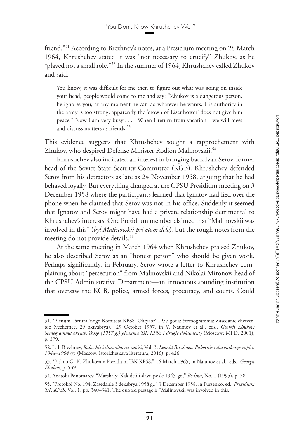friend.["51](#page-13-0) According to Brezhnev's notes, at a Presidium meeting on 28 March 1964, Khrushchev stated it was "not necessary to crucify" Zhukov, as he "played not a small role.["52](#page-13-1) In the summer of 1964, Khrushchev called Zhukov and said:

You know, it was difficult for me then to figure out what was going on inside your head, people would come to me and say: "Zhukov is a dangerous person, he ignores you, at any moment he can do whatever he wants. His authority in the army is too strong, apparently the 'crown of Eisenhower' does not give him peace." Now I am very busy . . . . When I return from vacation—we will meet and discuss matters as friends.<sup>53</sup>

This evidence suggests that Khrushchev sought a rapprochement with Zhukov, who despised Defense Minister Rodion Malinovskii.<sup>54</sup>

Khrushchev also indicated an interest in bringing back Ivan Serov, former head of the Soviet State Security Committee (KGB). Khrushchev defended Serov from his detractors as late as 24 November 1958, arguing that he had behaved loyally. But everything changed at the CPSU Presidium meeting on 3 December 1958 where the participants learned that Ignatov had lied over the phone when he claimed that Serov was not in his office. Suddenly it seemed that Ignatov and Serov might have had a private relationship detrimental to Khrushchev's interests. One Presidium member claimed that "Malinovskii was involved in this" (*byl Malinovskii pri etom dele*), but the rough notes from the meeting do not provide details.<sup>55</sup>

At the same meeting in March 1964 when Khrushchev praised Zhukov, he also described Serov as an "honest person" who should be given work. Perhaps significantly, in February, Serov wrote a letter to Khrushchev complaining about "persecution" from Malinovskii and Nikolai Mironov, head of the CPSU Administrative Department—an innocuous sounding institution that oversaw the KGB, police, armed forces, procuracy, and courts. Could

<span id="page-13-0"></span><sup>51. &</sup>quot;Plenum Tsentral'nogo Komiteta KPSS. Oktyabr' 1957 goda: Stemogramma: Zasedanie chetvertoe (vechernee, 29 oktyabrya)," 29 October 1957, in V. Naumov et al., eds., *Georgii Zhukov: Stenogramma oktyabr'skogo (1957 g.) plenuma TsK KPSS i drugie dokumenty* (Moscow: MFD, 2001), p. 379.

<span id="page-13-1"></span><sup>52.</sup> L. I. Brezhnev, *Rabochie i dnevnikovye zapisi*, Vol. 3, *Leonid Brezhnev: Rabochie i dnevnikovye zapisi: 1944–1964 gg.* (Moscow: Istoricheskaya literatura, 2016), p. 426.

<span id="page-13-2"></span><sup>53. &</sup>quot;Pis'mo G. K. Zhukova v Prezidium TsK KPSS," 16 March 1965, in Naumov et al., eds., *Georgii Zhukov*, p. 539.

<span id="page-13-3"></span><sup>54.</sup> Anatolii Ponomarev, "Marshaly: Kak delili slavu posle 1945-go," *Rodina*, No. 1 (1995), p. 78.

<span id="page-13-4"></span><sup>55. &</sup>quot;Protokol No. 194: Zasedanie 3 dekabrya 1958 g.," 3 December 1958, in Fursenko, ed., *Prezidium TsK KPSS*, Vol. 1, pp. 340–341. The quoted passage is "Malinovskii was involved in this."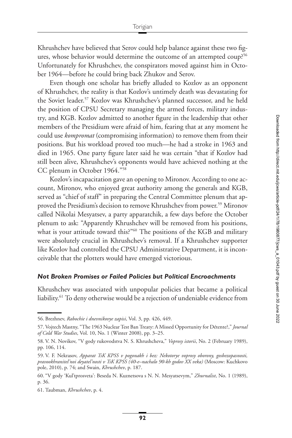Khrushchev have believed that Serov could help balance against these two figures, whose behavior would determine the outcome of an attempted coup?<sup>56</sup> Unfortunately for Khrushchev, the conspirators moved against him in October 1964—before he could bring back Zhukov and Serov.

Even though one scholar has briefly alluded to Kozlov as an opponent of Khrushchev, the reality is that Kozlov's untimely death was devastating for the Soviet leader[.57](#page-14-1) Kozlov was Khrushchev's planned successor, and he held the position of CPSU Secretary managing the armed forces, military industry, and KGB. Kozlov admitted to another figure in the leadership that other members of the Presidium were afraid of him, fearing that at any moment he could use *kompromat* (compromising information) to remove them from their positions. But his workload proved too much—he had a stroke in 1963 and died in 1965. One party figure later said he was certain "that if Kozlov had still been alive, Khrushchev's opponents would have achieved nothing at the CC plenum in October 1964.["58](#page-14-2)

Kozlov's incapacitation gave an opening to Mironov. According to one account, Mironov, who enjoyed great authority among the generals and KGB, served as "chief of staff" in preparing the Central Committee plenum that approved the Presidium's decision to remove Khrushchev from power[.59](#page-14-3) Mironov called Nikolai Mesyatsev, a party apparatchik, a few days before the October plenum to ask: "Apparently Khrushchev will be removed from his positions, what is your attitude toward this?"<sup>60</sup> The positions of the KGB and military were absolutely crucial in Khrushchev's removal. If a Khrushchev supporter like Kozlov had controlled the CPSU Administrative Department, it is inconceivable that the plotters would have emerged victorious.

#### *Not Broken Promises or Failed Policies but Political Encroachments*

Khrushchev was associated with unpopular policies that became a political liability[.61](#page-14-5) To deny otherwise would be a rejection of undeniable evidence from

<span id="page-14-0"></span><sup>56.</sup> Brezhnev, *Rabochie i dnevnikovye zapisi*, Vol. 3, pp. 426, 449.

<span id="page-14-1"></span><sup>57.</sup> Vojtech Mastny, "The 1963 Nuclear Test Ban Treaty: A Missed Opportunity for Détente?," *Journal of Cold War Studies*, Vol. 10, No. 1 (Winter 2008), pp. 3–25.

<span id="page-14-2"></span><sup>58.</sup> V. N. Novikov, "V gody rukovodstva N. S. Khrushcheva," *Voprosy istorii*, No. 2 (February 1989), pp. 106, 114.

<span id="page-14-3"></span><sup>59.</sup> V. F. Nekrasov, *Apparat TsK KPSS v pogonakh i bez: Nekotorye voprosy oborony, gosbezopasnosti, pravookhranitel'noi deyatel'nosti v TsK KPSS (40-e–nachalo 90-kh godov XX veka)* (Moscow: Kuchkovo pole, 2010), p. 74; and Swain, *Khrushchev*, p. 187.

<span id="page-14-4"></span><sup>60. &</sup>quot;V gody 'Kul'tprosveta': Beseda N. Kuznetsova s N. N. Mesyatsevym," *Zhurnalist*, No. 1 (1989), p. 36.

<span id="page-14-5"></span><sup>61.</sup> Taubman, *Khrushchev*, p. 4.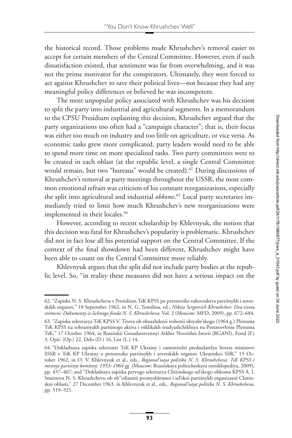the historical record. Those problems made Khrushchev's removal easier to accept for certain members of the Central Committee. However, even if such dissatisfaction existed, that sentiment was far from overwhelming, and it was not the prime motivator for the conspirators. Ultimately, they were forced to act against Khrushchev to save their political lives—not because they had any meaningful policy differences or believed he was incompetent.

The most unpopular policy associated with Khrushchev was his decision to split the party into industrial and agricultural segments. In a memorandum to the CPSU Presidium explaining this decision, Khrushchev argued that the party organizations too often had a "campaign character"; that is, their focus was either too much on industry and too little on agriculture, or vice versa. As economic tasks grew more complicated, party leaders would need to be able to spend more time on more specialized tasks. Two party committees were to be created in each oblast (at the republic level, a single Central Committee would remain, but two "bureaus" would be created).<sup>62</sup> During discussions of Khrushchev's removal at party meetings throughout the USSR, the most common emotional refrain was criticism of his constant reorganizations, especially the split into agricultural and industrial *obkoms*. [63](#page-15-1) Local party secretaries immediately tried to limit how much Khrushchev's new reorganizations were implemented in their locales.<sup>64</sup>

However, according to recent scholarship by Khlevnyuk, the notion that this decision was fatal for Khrushchev's popularity is problematic. Khrushchev did not in fact lose all his potential support on the Central Committee. If the context of the final showdown had been different, Khrushchev might have been able to count on the Central Committee more reliably.

Khlevnyuk argues that the split did not include party bodies at the republic level. So, "in reality these measures did not have a serious impact on the

<span id="page-15-0"></span><sup>62. &</sup>quot;Zapiska N. S. Khrushcheva v Prezidium TsK KPSS po perestroike rukovodstva partiinykh i sovetskikh organov," 10 September 1962, in N. G. Tomilina, ed., *Nikita Sergeevich Khrushchev: Dva tsveta vremeni: Dokumenty iz lichnogo fonda N. S. Khrushcheva*, Vol. 2 (Moscow: MFD, 2009), pp. 672–684.

<span id="page-15-1"></span><sup>63. &</sup>quot;Zapiska sekretarya TsK KPSS V. Titova ob obsuzhdenii reshenii oktyabr'skogo (1964 g.) Plenuma TsK KPSS na sobraniyakh partiinogo aktiva i otklikakh trudyashchikhsya na Postanovlenie Plenuma TsK," 17 October 1964, in Rossiiskii Gosudarstvennyi Arkhiv Noveishei Istorii (RGANI), Fond (F.) 3, Opis' (Op.) 22, Delo (D.) 16, List (L.) 14.

<span id="page-15-2"></span><sup>64. &</sup>quot;Dokladnaya zapiska sekretarei TsK KP Ukrainy i zamestitelei predsedatelya Soveta ministrov SSSR v TsK KP Ukrainy o perestroike partiinykh i sovetskikh organov Ukrainskoi SSR," 15 October 1962, in O. V. Khlevnyuk et al., eds., *Regional'naya politika N. S. Khrushcheva: TsK KPSS i mestnye partiinye komitety: 1953–1964 gg.* (Moscow: Rossiiskaya politicheskaya entsiklopediya, 2009), pp. 457–467; and "Dokladnaya zapiska pervogo sekretarya Chitinskogo sel'skogo obkoma KPSS A. I. Smirnova N. S. Khrushchevu ob ob"edinenii promyshlennoi i sel'skoi partiinykh organizatsii Chitinskoi oblasti," 27 December 1963, in Khlevnyuk et al., eds., *Regional'naya politika N. S. Khrushcheva*, pp. 519–521.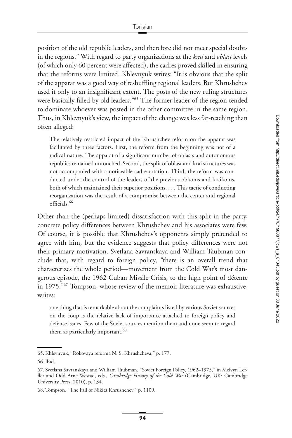position of the old republic leaders, and therefore did not meet special doubts in the regions." With regard to party organizations at the *krai* and *oblast* levels (of which only 60 percent were affected), the cadres proved skilled in ensuring that the reforms were limited. Khlevnyuk writes: "It is obvious that the split of the apparat was a good way of reshuffling regional leaders. But Khrushchev used it only to an insignificant extent. The posts of the new ruling structures were basically filled by old leaders."<sup>65</sup> The former leader of the region tended to dominate whoever was posted in the other committee in the same region. Thus, in Khlevnyuk's view, the impact of the change was less far-reaching than often alleged:

The relatively restricted impact of the Khrushchev reform on the apparat was facilitated by three factors. First, the reform from the beginning was not of a radical nature. The apparat of a significant number of oblasts and autonomous republics remained untouched. Second, the split of oblast and krai structures was not accompanied with a noticeable cadre rotation. Third, the reform was conducted under the control of the leaders of the previous obkoms and kraikoms, both of which maintained their superior positions. . . . This tactic of conducting reorganization was the result of a compromise between the center and regional officials.<sup>66</sup>

Other than the (perhaps limited) dissatisfaction with this split in the party, concrete policy differences between Khrushchev and his associates were few. Of course, it is possible that Khrushchev's opponents simply pretended to agree with him, but the evidence suggests that policy differences were not their primary motivation. Svetlana Savranskaya and William Taubman conclude that, with regard to foreign policy, "there is an overall trend that characterizes the whole period—movement from the Cold War's most dangerous episode, the 1962 Cuban Missile Crisis, to the high point of détente in 1975.["67](#page-16-2) Tompson, whose review of the memoir literature was exhaustive, writes:

one thing that is remarkable about the complaints listed by various Soviet sources on the coup is the relative lack of importance attached to foreign policy and defense issues. Few of the Soviet sources mention them and none seem to regard them as particularly important.<sup>68</sup>

<span id="page-16-0"></span><sup>65.</sup> Khlevnyuk, "Rokovaya reforma N. S. Khrushcheva," p. 177.

<span id="page-16-1"></span><sup>66.</sup> Ibid.

<span id="page-16-2"></span><sup>67.</sup> Svetlana Savranskaya and William Taubman, "Soviet Foreign Policy, 1962–1975," in Melvyn Leffler and Odd Arne Westad, eds., *Cambridge History of the Cold War* (Cambridge, UK: Cambridge University Press, 2010), p. 134.

<span id="page-16-3"></span><sup>68.</sup> Tompson, "The Fall of Nikita Khrushchev," p. 1109.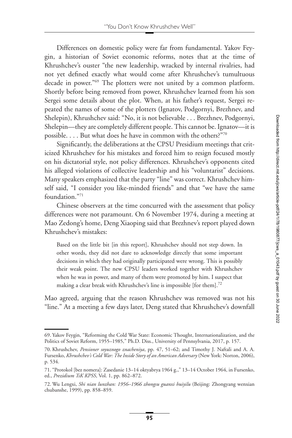Differences on domestic policy were far from fundamental. Yakov Feygin, a historian of Soviet economic reforms, notes that at the time of Khrushchev's ouster "the new leadership, wracked by internal rivalries, had not yet defined exactly what would come after Khrushchev's tumultuous decade in power.["69](#page-17-0) The plotters were not united by a common platform. Shortly before being removed from power, Khrushchev learned from his son Sergei some details about the plot. When, at his father's request, Sergei repeated the names of some of the plotters (Ignatov, Podgornyi, Brezhnev, and Shelepin), Khrushchev said: "No, it is not believable . . . Brezhnev, Podgornyi, Shelepin—they are completely different people. This cannot be. Ignatov—it is possible. . . . But what does he have in common with the others?["70](#page-17-1)

Significantly, the deliberations at the CPSU Presidium meetings that criticized Khrushchev for his mistakes and forced him to resign focused mostly on his dictatorial style, not policy differences. Khrushchev's opponents cited his alleged violations of collective leadership and his "voluntarist" decisions. Many speakers emphasized that the party "line" was correct. Khrushchev himself said, "I consider you like-minded friends" and that "we have the same foundation.["71](#page-17-2)

Chinese observers at the time concurred with the assessment that policy differences were not paramount. On 6 November 1974, during a meeting at Mao Zedong's home, Deng Xiaoping said that Brezhnev's report played down Khrushchev's mistakes:

Based on the little bit [in this report], Khrushchev should not step down. In other words, they did not dare to acknowledge directly that some important decisions in which they had originally participated were wrong. This is possibly their weak point. The new CPSU leaders worked together with Khrushchev when he was in power, and many of them were promoted by him. I suspect that making a clear break with Khrushchev's line is impossible [for them].<sup>72</sup>

Mao agreed, arguing that the reason Khrushchev was removed was not his "line." At a meeting a few days later, Deng stated that Khrushchev's downfall

<span id="page-17-0"></span><sup>69.</sup> Yakov Feygin, "Reforming the Cold War State: Economic Thought, Internationalization, and the Politics of Soviet Reform, 1955–1985," Ph.D. Diss., University of Pennsylvania, 2017, p. 157.

<span id="page-17-1"></span><sup>70.</sup> Khrushchev, *Pensioner soyuznogo znacheniya*, pp. 47, 51–62; and Timothy J. Naftali and A. A. Fursenko, *Khrushchev's Cold War: The Inside Story of an American Adversary* (New York: Norton, 2006), p. 534.

<span id="page-17-2"></span><sup>71. &</sup>quot;Protokol [bez nomera]: Zasedanie 13–14 oktyabrya 1964 g.," 13–14 October 1964, in Fursenko, ed., *Prezidium TsK KPSS*, Vol. 1, pp. 862–872.

<span id="page-17-3"></span><sup>72.</sup> Wu Lengxi, *Shi nian lunzhan: 1956–1966 zhongsu guanxi huiyilu* (Beijing: Zhongyang wenxian chubanshe, 1999), pp. 858–859.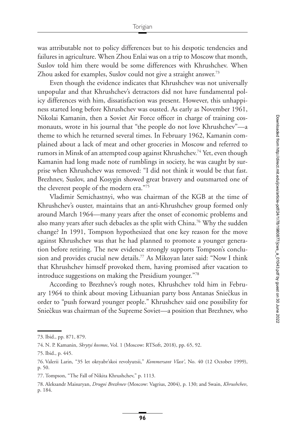was attributable not to policy differences but to his despotic tendencies and failures in agriculture. When Zhou Enlai was on a trip to Moscow that month, Suslov told him there would be some differences with Khrushchev. When Zhou asked for examples, Suslov could not give a straight answer.<sup>73</sup>

Even though the evidence indicates that Khrushchev was not universally unpopular and that Khrushchev's detractors did not have fundamental policy differences with him, dissatisfaction was present. However, this unhappiness started long before Khrushchev was ousted. As early as November 1961, Nikolai Kamanin, then a Soviet Air Force officer in charge of training cosmonauts, wrote in his journal that "the people do not love Khrushchev"—a theme to which he returned several times. In February 1962, Kamanin complained about a lack of meat and other groceries in Moscow and referred to rumors in Minsk of an attempted coup against Khrushchev.<sup>74</sup> Yet, even though Kamanin had long made note of rumblings in society, he was caught by surprise when Khrushchev was removed: "I did not think it would be that fast. Brezhnev, Suslov, and Kosygin showed great bravery and outsmarted one of the cleverest people of the modern era.["75](#page-18-2)

Vladimir Semichastnyi, who was chairman of the KGB at the time of Khrushchev's ouster, maintains that an anti-Khrushchev group formed only around March 1964—many years after the onset of economic problems and also many years after such debacles as the split with China[.76](#page-18-3) Why the sudden change? In 1991, Tompson hypothesized that one key reason for the move against Khrushchev was that he had planned to promote a younger generation before retiring. The new evidence strongly supports Tompson's conclusion and provides crucial new details.<sup>77</sup> As Mikoyan later said: "Now I think that Khrushchev himself provoked them, having promised after vacation to introduce suggestions on making the Presidium younger.["78](#page-18-5)

According to Brezhnev's rough notes, Khrushchev told him in February 1964 to think about moving Lithuanian party boss Antanas Sniečkus in order to "push forward younger people." Khrushchev said one possibility for Snieckus was chairman of the Supreme Soviet—a position that Brezhnev, who

<span id="page-18-0"></span><sup>73.</sup> Ibid., pp. 871, 879.

<span id="page-18-1"></span><sup>74.</sup> N. P. Kamanin, *Skrytyi kosmos*, Vol. 1 (Moscow: RTSoft, 2018), pp. 65, 92.

<span id="page-18-2"></span><sup>75.</sup> Ibid., p. 445.

<span id="page-18-3"></span><sup>76.</sup> Valerii Larin, "35 let oktyabr'skoi revolyutsii," *Kommersant Vlast'*, No. 40 (12 October 1999), p. 50.

<span id="page-18-4"></span><sup>77.</sup> Tompson, "The Fall of Nikita Khrushchev," p. 1113.

<span id="page-18-5"></span><sup>78.</sup> Aleksandr Maisuryan, *Drugoi Brezhnev* (Moscow: Vagrius, 2004), p. 130; and Swain, *Khrushchev*, p. 184.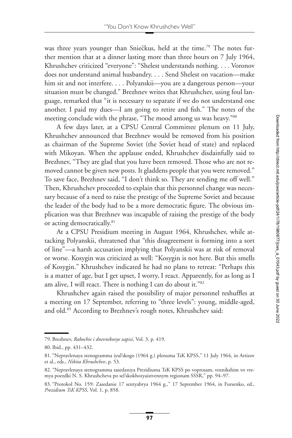was three years younger than Sniečkus, held at the time.<sup>[79](#page-19-0)</sup> The notes further mention that at a dinner lasting more than three hours on 7 July 1964, Khrushchev criticized "everyone": "Shelest understands nothing. . . . Voronov does not understand animal husbandry. . . . Send Shelest on vacation—make him sit and not interfere. . . . Polyanskii—you are a dangerous person—your situation must be changed." Brezhnev writes that Khrushchev, using foul language, remarked that "it is necessary to separate if we do not understand one another. I paid my dues—I am going to retire and fish." The notes of the meeting conclude with the phrase, "The mood among us was heavy."<sup>80</sup>

A few days later, at a CPSU Central Committee plenum on 11 July, Khrushchev announced that Brezhnev would be removed from his position as chairman of the Supreme Soviet (the Soviet head of state) and replaced with Mikoyan. When the applause ended, Khrushchev disdainfully said to Brezhnev, "They are glad that you have been removed. Those who are not removed cannot be given new posts. It gladdens people that you were removed." To save face, Brezhnev said, "I don't think so. They are sending me off well." Then, Khrushchev proceeded to explain that this personnel change was necessary because of a need to raise the prestige of the Supreme Soviet and because the leader of the body had to be a more democratic figure. The obvious implication was that Brezhnev was incapable of raising the prestige of the body or acting democratically.<sup>81</sup>

At a CPSU Presidium meeting in August 1964, Khrushchev, while attacking Polyanskii, threatened that "this disagreement is forming into a sort of line"—a harsh accusation implying that Polyanskii was at risk of removal or worse. Kosygin was criticized as well: "Kosygin is not here. But this smells of Kosygin." Khrushchev indicated he had no plans to retreat: "Perhaps this is a matter of age, but I get upset, I worry, I react. Apparently, for as long as I am alive, I will react. There is nothing I can do about it.["82](#page-19-3)

Khrushchev again raised the possibility of major personnel reshuffles at a meeting on 17 September, referring to "three levels": young, middle-aged, and old.<sup>83</sup> According to Brezhnev's rough notes, Khrushchev said:

<span id="page-19-0"></span><sup>79.</sup> Brezhnev, *Rabochie i dnevnikovye zapisi*, Vol. 3, p. 419.

<span id="page-19-1"></span><sup>80.</sup> Ibid., pp. 431–432.

<span id="page-19-2"></span><sup>81. &</sup>quot;Nepravlenaya stenogramma iyul'skogo (1964 g.) plenuma TsK KPSS," 11 July 1964, in Artizov et al., eds., *Nikita Khrushchev*, p. 53.

<span id="page-19-3"></span><sup>82. &</sup>quot;Nepravlenaya stenogramma zasedaniya Prezidiuma TsK KPSS po voprosam, voznikshim vo vremya poezdki N. S. Khrushcheva po sel'skokhozyaistvennym regionam SSSR," pp. 94–97.

<span id="page-19-4"></span><sup>83. &</sup>quot;Protokol No. 159: Zasedanie 17 sentyabrya 1964 g.," 17 September 1964, in Fursenko, ed., *Prezidium TsK KPSS*, Vol. 1, p. 858.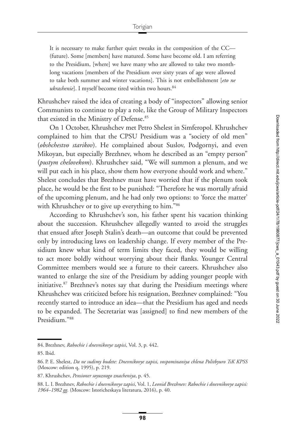It is necessary to make further quiet tweaks in the composition of the CC— (future). Some [members] have matured. Some have become old. I am referring to the Presidium, [where] we have many who are allowed to take two monthlong vacations [members of the Presidium over sixty years of age were allowed to take both summer and winter vacations]. This is not embellishment [*eto ne ukrashenie*]. I myself become tired within two hours.<sup>84</sup>

Khrushchev raised the idea of creating a body of "inspectors" allowing senior Communists to continue to play a role, like the Group of Military Inspectors that existed in the Ministry of Defense.<sup>85</sup>

On 1 October, Khrushchev met Petro Shelest in Simferopol. Khrushchev complained to him that the CPSU Presidium was a "society of old men" (*obshchestvo starikov*). He complained about Suslov, Podgornyi, and even Mikoyan, but especially Brezhnev, whom he described as an "empty person" (*pustym chelovekom*). Khrushchev said, "We will summon a plenum, and we will put each in his place, show them how everyone should work and where." Shelest concludes that Brezhnev must have worried that if the plenum took place, he would be the first to be punished: "Therefore he was mortally afraid of the upcoming plenum, and he had only two options: to 'force the matter' with Khrushchev or to give up everything to him."<sup>86</sup>

According to Khrushchev's son, his father spent his vacation thinking about the succession. Khrushchev allegedly wanted to avoid the struggles that ensued after Joseph Stalin's death—an outcome that could be prevented only by introducing laws on leadership change. If every member of the Presidium knew what kind of term limits they faced, they would be willing to act more boldly without worrying about their flanks. Younger Central Committee members would see a future to their careers. Khrushchev also wanted to enlarge the size of the Presidium by adding younger people with initiative.<sup>87</sup> Brezhnev's notes say that during the Presidium meetings where Khrushchev was criticized before his resignation, Brezhnev complained: "You recently started to introduce an idea—that the Presidium has aged and needs to be expanded. The Secretariat was [assigned] to find new members of the Presidium.["88](#page-20-4)

<span id="page-20-0"></span><sup>84.</sup> Brezhnev, *Rabochie i dnevnikovye zapisi*, Vol. 3, p. 442.

<span id="page-20-1"></span><sup>85.</sup> Ibid.

<span id="page-20-2"></span><sup>86.</sup> P. E. Shelest, *Da ne sudimy budete: Dnevnikovye zapisi, vospominaniya chlena Politbyuro TsK KPSS* (Moscow: edition q, 1995), p. 219.

<span id="page-20-3"></span><sup>87.</sup> Khrushchev, *Pensioner soyuznogo znacheniya*, p. 45.

<span id="page-20-4"></span><sup>88.</sup> L. I. Brezhnev, *Rabochie i dnevnikovye zapisi*, Vol. 1, *Leonid Brezhnev: Rabochie i dnevnikovye zapisi: 1964–1982 gg.* (Moscow: Istoricheskaya literatura, 2016), p. 40.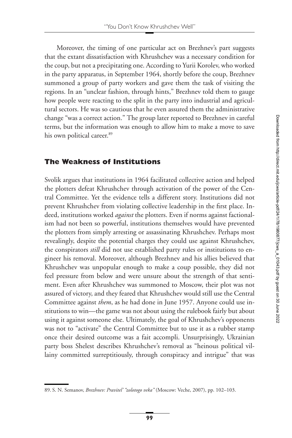Moreover, the timing of one particular act on Brezhnev's part suggests that the extant dissatisfaction with Khrushchev was a necessary condition for the coup, but not a precipitating one. According to Yurii Korolev, who worked in the party apparatus, in September 1964, shortly before the coup, Brezhnev summoned a group of party workers and gave them the task of visiting the regions. In an "unclear fashion, through hints," Brezhnev told them to gauge how people were reacting to the split in the party into industrial and agricultural sectors. He was so cautious that he even assured them the administrative change "was a correct action." The group later reported to Brezhnev in careful terms, but the information was enough to allow him to make a move to save his own political career.<sup>89</sup>

## **The Weakness of Institutions**

Svolik argues that institutions in 1964 facilitated collective action and helped the plotters defeat Khrushchev through activation of the power of the Central Committee. Yet the evidence tells a different story. Institutions did not prevent Khrushchev from violating collective leadership in the first place. Indeed, institutions worked *against* the plotters. Even if norms against factionalism had not been so powerful, institutions themselves would have prevented the plotters from simply arresting or assassinating Khrushchev. Perhaps most revealingly, despite the potential charges they could use against Khrushchev, the conspirators *still* did not use established party rules or institutions to engineer his removal. Moreover, although Brezhnev and his allies believed that Khrushchev was unpopular enough to make a coup possible, they did not feel pressure from below and were unsure about the strength of that sentiment. Even after Khrushchev was summoned to Moscow, their plot was not assured of victory, and they feared that Khrushchev would still use the Central Committee against *them*, as he had done in June 1957. Anyone could use institutions to win—the game was not about using the rulebook fairly but about using it against someone else. Ultimately, the goal of Khrushchev's opponents was not to "activate" the Central Committee but to use it as a rubber stamp once their desired outcome was a fait accompli. Unsurprisingly, Ukrainian party boss Shelest describes Khrushchev's removal as "heinous political villainy committed surreptitiously, through conspiracy and intrigue" that was

<span id="page-21-0"></span><sup>89.</sup> S. N. Semanov, *Brezhnev: Pravitel' "zolotogo veka"* (Moscow: Veche, 2007), pp. 102–103.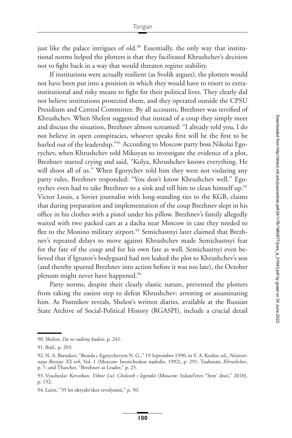just like the palace intrigues of old.<sup>90</sup> Essentially, the only way that institutional norms helped the plotters is that they facilitated Khrushchev's decision not to fight back in a way that would threaten regime stability.

If institutions were actually resilient (as Svolik argues), the plotters would not have been put into a position in which they would have to resort to extrainstitutional and risky means to fight for their political lives. They clearly did not believe institutions protected them, and they operated outside the CPSU Presidium and Central Committee. By all accounts, Brezhnev was terrified of Khrushchev. When Shelest suggested that instead of a coup they simply meet and discuss the situation, Brezhnev almost screamed: "I already told you, I do not believe in open conspiracies, whoever speaks first will be the first to be hurled out of the leadership."<sup>91</sup> According to Moscow party boss Nikolai Egorychev, when Khrushchev told Mikoyan to investigate the evidence of a plot, Brezhnev started crying and said, "Kolya, Khrushchev knows everything. He will shoot all of us." When Egorychev told him they were not violating any party rules, Brezhnev responded: "You don't know Khrushchev well." Egorychev even had to take Brezhnev to a sink and tell him to clean himself up.<sup>92</sup> Victor Louis, a Soviet journalist with long-standing ties to the KGB, claims that during preparation and implementation of the coup Brezhnev slept in his office in his clothes with a pistol under his pillow. Brezhnev's family allegedly waited with two packed cars at a dacha near Moscow in case they needed to flee to the Monino military airport.<sup>93</sup> Semichastnyi later claimed that Brezhnev's repeated delays to move against Khrushchev made Semichastnyi fear for the fate of the coup and for his own fate as well. Semichastnyi even believed that if Ignatov's bodyguard had not leaked the plot to Khrushchev's son (and thereby spurred Brezhnev into action before it was too late), the October plenum might never have happened.<sup>94</sup>

Party norms, despite their clearly elastic nature, prevented the plotters from taking the easiest step to defeat Khrushchev: arresting or assassinating him. As Postnikov reveals, Shelest's written diaries, available at the Russian State Archive of Social-Political History (RGASPI), include a crucial detail

<span id="page-22-0"></span><sup>90.</sup> Shelest, *Da ne sudimy budete*, p. 241.

<span id="page-22-1"></span><sup>91.</sup> Ibid., p. 203.

<span id="page-22-2"></span><sup>92.</sup> N. A. Barsukov, "Beseda c Egorychevym N. G.," 19 September 1990, in V. A. Kozlov, ed., *Neizvestnaya Rossiya: XX vek*, Vol. 1 (Moscow: Istoricheskoe nasledie, 1992), p. 291; Taubman, *Khrushchev*, p. 7; and Thatcher, "Brezhnev as Leader," p. 25.

<span id="page-22-3"></span><sup>93.</sup> Vyacheslav Kevorkov, *Viktor Lui: Chelovek s legendoi* (Moscow: Izdatel'stvo "Sem' dnei," 2010), p. 152.

<span id="page-22-4"></span><sup>94.</sup> Larin, "35 let oktyabr'skoi revolyutsii," p. 50.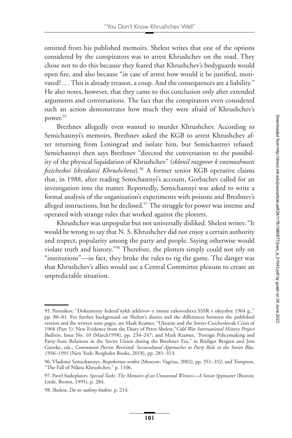omitted from his published memoirs. Shelest writes that one of the options considered by the conspirators was to arrest Khrushchev on the road. They chose not to do this because they feared that Khrushchev's bodyguards would open fire, and also because "in case of arrest how would it be justified, motivated?. . . This is already treason, a coup. And the consequences are a liability." He also notes, however, that they came to this conclusion only after extended arguments and conversations. The fact that the conspirators even considered such an action demonstrates how much they were afraid of Khrushchev's power.<sup>95</sup>

Brezhnev allegedly even wanted to murder Khrushchev. According to Semichastnyi's memoirs, Brezhnev asked the KGB to arrest Khrushchev after returning from Leningrad and isolate him, but Semichastnyi refused. Semichastnyi then says Brezhnev "directed the conversation to the possibility of the physical liquidation of Khrushchev" (*sklonil razgovor k vozmozhnosti fizicheskoi likvidatsii Khrushcheva*)[.96](#page-23-1) A former senior KGB operative claims that, in 1988, after reading Semichastnyi's account, Gorbachev called for an investigation into the matter. Reportedly, Semichastnyi was asked to write a formal analysis of the organization's experiments with poisons and Brezhnev's alleged instructions, but he declined.<sup>97</sup> The struggle for power was intense and operated with strange rules that worked against the plotters.

Khrushchev was unpopular but not universally disliked. Shelest writes: "It would be wrong to say that N. S. Khrushchev did not enjoy a certain authority and respect, popularity among the party and people. Saying otherwise would violate truth and history.["98](#page-23-3) Therefore, the plotters simply could not rely on "institutions"—in fact, they broke the rules to rig the game. The danger was that Khrushchev's allies would use a Central Committee plenum to create an unpredictable situation.

<span id="page-23-0"></span><sup>95.</sup> Postnikov, "Dokumenty federal'nykh arkhivov o smene rukovodstva SSSR v oktyabre 1964 g.," pp. 80–81. For further background on Shelest's diaries and the differences between the published version and the written note pages, see Mark Kramer, "Ukraine and the Soviet-Czechoslovak Crisis of 1968 (Part 1): New Evidence from the Diary of Petro Shelest,"*Cold War International History Project Bulletin*, Issue No. 10 (March1998), pp. 234–247; and Mark Kramer, "Foreign Policymaking and Party-State Relations in the Soviet Union during the Brezhnev Era," in Rüdiger Bergien and Jens Gieseke, eds., *Communist Parties Revisited: Sociocultural Approaches to Party Rule in the Soviet Bloc, 1956–1991* (New York: Berghahn Books, 2018), pp. 281–313.

<span id="page-23-1"></span><sup>96.</sup> Vladimir Semichastnyi, *Bespokoinoe serdtse* (Moscow: Vagrius, 2002), pp. 351–352; and Tompson, "The Fall of Nikita Khrushchev," p. 1106.

<span id="page-23-2"></span><sup>97.</sup> Pavel Sudoplatov, *Special Tasks: The Memoirs of an Unwanted Witness—A Soviet Spymaster* (Boston: Little, Brown, 1995), p. 284.

<span id="page-23-3"></span><sup>98.</sup> Shelest, *Da ne sudimy budete*, p. 214.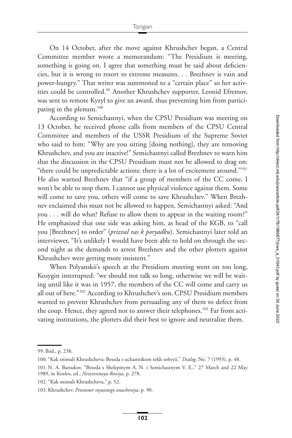On 14 October, after the move against Khrushchev began, a Central Committee member wrote a memorandum: "The Presidium is meeting, something is going on. I agree that something must be said about deficiencies, but it is wrong to resort to extreme measures. . . Brezhnev is vain and power-hungry." That writer was summoned to a "certain place" so her activities could be controlled[.99](#page-24-0) Another Khrushchev supporter, Leonid Efremov, was sent to remote Kyzyl to give an award, thus preventing him from participating in the plenum[.100](#page-24-1)

According to Semichastnyi, when the CPSU Presidium was meeting on 13 October, he received phone calls from members of the CPSU Central Committee and members of the USSR Presidium of the Supreme Soviet who said to him: "Why are you sitting [doing nothing], they are removing Khrushchev, and you are inactive!" Semichastnyi called Brezhnev to warn him that the discussion in the CPSU Presidium must not be allowed to drag on: "there could be unpredictable actions: there is a lot of excitement around.["101](#page-24-2) He also warned Brezhnev that "if a group of members of the CC come, I won't be able to stop them. I cannot use physical violence against them. Some will come to save you, others will come to save Khrushchev." When Brezhnev exclaimed this must not be allowed to happen, Semichastnyi asked: "And you . . . will do what? Refuse to allow them to appear in the waiting room?" He emphasized that one side was asking him, as head of the KGB, to "call you [Brezhnev] to order" (*prizval vas k poryadku*). Semichastnyi later told an interviewer, "It's unlikely I would have been able to hold on through the second night as the demands to arrest Brezhnev and the other plotters against Khrushchev were getting more insistent."

When Polyanskii's speech at the Presidium meeting went on too long, Kosygin interrupted: "we should not talk so long, otherwise we will be waiting until like it was in 1957, the members of the CC will come and carry us all out of here.["102](#page-24-3) According to Khrushchev's son, CPSU Presidium members wanted to prevent Khrushchev from persuading any of them to defect from the coup. Hence, they agreed not to answer their telephones.<sup>103</sup> Far from activating institutions, the plotters did their best to ignore and neutralize them.

<span id="page-24-0"></span><sup>99.</sup> Ibid., p. 238.

<span id="page-24-1"></span><sup>100. &</sup>quot;Kak snimali Khrushcheva: Beseda s uchastnikom tekh sobytii," *Dialog*, No. 7 (1993), p. 48.

<span id="page-24-2"></span><sup>101.</sup> N. A. Barsukov, "Beseda s Shelepinym A. N. i Semichastnym V. E.," 27 March and 22 May 1989, in Kozlov, ed., *Neizvestnaya Rossiya*, p. 278.

<span id="page-24-3"></span><sup>102. &</sup>quot;Kak snimali Khrushcheva," p. 52.

<span id="page-24-4"></span><sup>103.</sup> Khrushchev, *Pensioner soyuznogo znacheniya*, p. 90.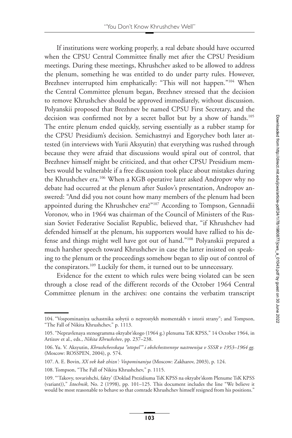If institutions were working properly, a real debate should have occurred when the CPSU Central Committee finally met after the CPSU Presidium meetings. During these meetings, Khrushchev asked to be allowed to address the plenum, something he was entitled to do under party rules. However, Brezhnev interrupted him emphatically: "This will not happen.["104](#page-25-0) When the Central Committee plenum began, Brezhnev stressed that the decision to remove Khrushchev should be approved immediately, without discussion. Polyanskii proposed that Brezhnev be named CPSU First Secretary, and the decision was confirmed not by a secret ballot but by a show of hands.<sup>105</sup> The entire plenum ended quickly, serving essentially as a rubber stamp for the CPSU Presidium's decision. Semichastnyi and Egorychev both later attested (in interviews with Yurii Aksyutin) that everything was rushed through because they were afraid that discussions would spiral out of control, that Brezhnev himself might be criticized, and that other CPSU Presidium members would be vulnerable if a free discussion took place about mistakes during the Khrushchev era.<sup>106</sup> When a KGB operative later asked Andropov why no debate had occurred at the plenum after Suslov's presentation, Andropov answered: "And did you not count how many members of the plenum had been appointed during the Khrushchev era?"<sup>107</sup> According to Tompson, Gennadii Voronov, who in 1964 was chairman of the Council of Ministers of the Russian Soviet Federative Socialist Republic, believed that, "if Khrushchev had defended himself at the plenum, his supporters would have rallied to his defense and things might well have got out of hand.["108](#page-25-4) Polyanskii prepared a much harsher speech toward Khrushchev in case the latter insisted on speaking to the plenum or the proceedings somehow began to slip out of control of the conspirators.<sup>109</sup> Luckily for them, it turned out to be unnecessary.

Evidence for the extent to which rules were being violated can be seen through a close read of the different records of the October 1964 Central Committee plenum in the archives: one contains the verbatim transcript

<span id="page-25-0"></span><sup>104. &</sup>quot;Vospominaniya uchastnika sobytii o neprostykh momentakh v istorii strany"; and Tompson, "The Fall of Nikita Khrushchev," p. 1113.

<span id="page-25-1"></span><sup>105. &</sup>quot;Nepravlenaya stenogramma oktyabr'skogo (1964 g.) plenuma TsK KPSS," 14 October 1964, in Artizov et al., eds., *Nikita Khrushchev*, pp. 237–238.

<span id="page-25-2"></span><sup>106.</sup> Yu. V. Aksyutin, *Khrushchevskaya "ottepel'" i obshchestvennye nastroeniya v SSSR v 1953–1964 gg.* (Moscow: ROSSPEN, 2004), p. 574.

<span id="page-25-3"></span><sup>107.</sup> A. E. Bovin, *XX vek kak zhizn': Vospominaniya* (Moscow: Zakharov, 2003), p. 124.

<span id="page-25-4"></span><sup>108.</sup> Tompson, "The Fall of Nikita Khrushchev," p. 1115.

<span id="page-25-5"></span><sup>109. &</sup>quot;'Takovy, tovarishchi, fakty' (Doklad Prezidiuma TsK KPSS na oktyabr'skom Plenume TsK KPSS (variant))," *Istochnik*, No. 2 (1998), pp. 101–125. This document includes the line "We believe it would be most reasonable to behave so that comrade Khrushchev himself resigned from his positions."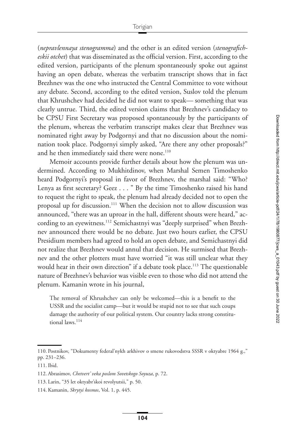(*nepravlennaya stenogramma*) and the other is an edited version (*stenograficheskii otchet*) that was disseminated as the official version. First, according to the edited version, participants of the plenum spontaneously spoke out against having an open debate, whereas the verbatim transcript shows that in fact Brezhnev was the one who instructed the Central Committee to vote without any debate. Second, according to the edited version, Suslov told the plenum that Khrushchev had decided he did not want to speak— something that was clearly untrue. Third, the edited version claims that Brezhnev's candidacy to be CPSU First Secretary was proposed spontaneously by the participants of the plenum, whereas the verbatim transcript makes clear that Brezhnev was nominated right away by Podgornyi and that no discussion about the nomination took place. Podgornyi simply asked, "Are there any other proposals?" and he then immediately said there were none.<sup>110</sup>

Memoir accounts provide further details about how the plenum was undermined. According to Mukhitdinov, when Marshal Semen Timoshenko heard Podgornyi's proposal in favor of Brezhnev, the marshal said: "Who? Lenya as first secretary? Geez . . . " By the time Timoshenko raised his hand to request the right to speak, the plenum had already decided not to open the proposal up for discussion[.111](#page-26-1) When the decision not to allow discussion was announced, "there was an uproar in the hall, different shouts were heard," according to an eyewitness.<sup>112</sup> Semichastnyi was "deeply surprised" when Brezhnev announced there would be no debate. Just two hours earlier, the CPSU Presidium members had agreed to hold an open debate, and Semichastnyi did not realize that Brezhnev would annul that decision. He surmised that Brezhnev and the other plotters must have worried "it was still unclear what they would hear in their own direction" if a debate took place.<sup>113</sup> The questionable nature of Brezhnev's behavior was visible even to those who did not attend the plenum. Kamanin wrote in his journal,

The removal of Khrushchev can only be welcomed—this is a benefit to the USSR and the socialist camp—but it would be stupid not to see that such coups damage the authority of our political system. Our country lacks strong constitu-tional laws.<sup>[114](#page-26-4)</sup>

<span id="page-26-0"></span><sup>110.</sup> Postnikov, "Dokumenty federal'nykh arkhivov o smene rukovodstva SSSR v oktyabre 1964 g.," pp. 231–236.

<span id="page-26-1"></span><sup>111.</sup> Ibid.

<span id="page-26-2"></span><sup>112.</sup> Abrasimov, *Chetvert' veka poslom Sovetskogo Soyuza*, p. 72.

<span id="page-26-3"></span><sup>113.</sup> Larin, "35 let oktyabr'skoi revolyutsii," p. 50.

<span id="page-26-4"></span><sup>114.</sup> Kamanin, *Skrytyi kosmos*, Vol. 1, p. 445.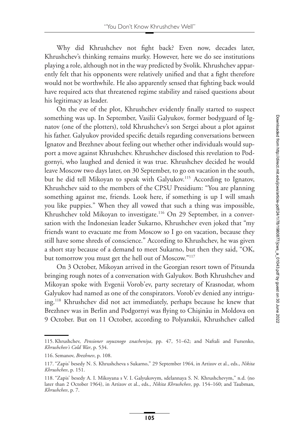Why did Khrushchev not fight back? Even now, decades later, Khrushchev's thinking remains murky. However, here we do see institutions playing a role, although not in the way predicted by Svolik. Khrushchev apparently felt that his opponents were relatively unified and that a fight therefore would not be worthwhile. He also apparently sensed that fighting back would have required acts that threatened regime stability and raised questions about his legitimacy as leader.

On the eve of the plot, Khrushchev evidently finally started to suspect something was up. In September, Vasilii Galyukov, former bodyguard of Ignatov (one of the plotters), told Khrushchev's son Sergei about a plot against his father. Galyukov provided specific details regarding conversations between Ignatov and Brezhnev about feeling out whether other individuals would support a move against Khrushchev. Khrushchev disclosed this revelation to Podgornyi, who laughed and denied it was true. Khrushchev decided he would leave Moscow two days later, on 30 September, to go on vacation in the south, but he did tell Mikoyan to speak with Galyukov.<sup>115</sup> According to Ignatov, Khrushchev said to the members of the CPSU Presidium: "You are planning something against me, friends. Look here, if something is up I will smash you like puppies." When they all vowed that such a thing was impossible, Khrushchev told Mikoyan to investigate.<sup>116</sup> On 29 September, in a conversation with the Indonesian leader Sukarno, Khrushchev even joked that "my friends want to evacuate me from Moscow so I go on vacation, because they still have some shreds of conscience." According to Khrushchev, he was given a short stay because of a demand to meet Sukarno, but then they said, "OK, but tomorrow you must get the hell out of Moscow."<sup>117</sup>

On 3 October, Mikoyan arrived in the Georgian resort town of Pitsunda bringing rough notes of a conversation with Galyukov. Both Khrushchev and Mikoyan spoke with Evgenii Vorob'ev, party secretary of Krasnodar, whom Galyukov had named as one of the conspirators. Vorob'ev denied any intriguing[.118](#page-27-3) Khrushchev did not act immediately, perhaps because he knew that Brezhnev was in Berlin and Podgornyi was flying to Chișinău in Moldova on 9 October. But on 11 October, according to Polyanskii, Khrushchev called

<span id="page-27-0"></span><sup>115.</sup> Khrushchev, *Pensioner soyuznogo znacheniya*, pp. 47, 51–62; and Naftali and Fursenko, *Khrushchev's Cold War*, p. 534.

<span id="page-27-1"></span><sup>116.</sup> Semanov, *Brezhnev*, p. 108.

<span id="page-27-2"></span><sup>117. &</sup>quot;Zapis' besedy N. S. Khrushcheva s Sukarno," 29 September 1964, in Artizov et al., eds., *Nikita Khrushchev*, p. 151.

<span id="page-27-3"></span><sup>118. &</sup>quot;Zapis' besedy A. I. Mikoyana s V. I. Galyukovym, sdelannaya S. N. Khrushchevym," n.d. (no later than 2 October 1964), in Artizov et al., eds., *Nikita Khrushchev*, pp. 154–160; and Taubman, *Khrushchev*, p. 7.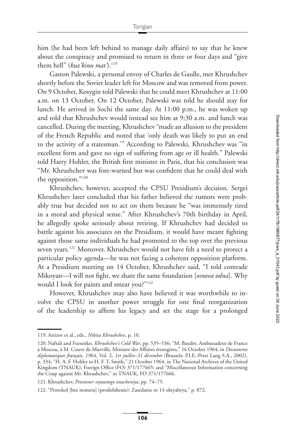him (he had been left behind to manage daily affairs) to say that he knew about the conspiracy and promised to return in three or four days and "give them hell" (*kuz'kinu mat*).<sup>119</sup>

Gaston Palewski, a personal envoy of Charles de Gaulle, met Khrushchev shortly before the Soviet leader left for Moscow and was removed from power. On 9 October, Kosygin told Palewski that he could meet Khrushchev at 11:00 a.m. on 13 October. On 12 October, Palewski was told he should stay for lunch. He arrived in Sochi the same day. At 11:00 p.m., he was woken up and told that Khrushchev would instead see him at 9:30 a.m. and lunch was cancelled. During the meeting, Khrushchev "made an allusion to the president of the French Republic and noted that 'only death was likely to put an end to the activity of a statesman.'" According to Palewski, Khrushchev was "in excellent form and gave no sign of suffering from age or ill health." Palewski told Harry Hohler, the British first minister in Paris, that his conclusion was "Mr. Khrushchev was fore-warned but was confident that he could deal with the opposition.["120](#page-28-1)

Khrushchev, however, accepted the CPSU Presidium's decision. Sergei Khrushchev later concluded that his father believed the rumors were probably true but decided not to act on them because he "was immensely tired in a moral and physical sense." After Khrushchev's 70th birthday in April, he allegedly spoke seriously about retiring. If Khrushchev had decided to battle against his associates on the Presidium, it would have meant fighting against those same individuals he had promoted to the top over the previous seven years[.121](#page-28-2) Moreover, Khrushchev would not have felt a need to protect a particular policy agenda—he was not facing a coherent opposition platform. At a Presidium meeting on 14 October, Khrushchev said, "I told comrade Mikoyan—I will not fight, we share the same foundation [*osnova odna*]. Why would I look for paints and smear you?"<sup>122</sup>

However, Khrushchev may also have believed it was worthwhile to involve the CPSU in another power struggle for one final reorganization of the leadership to affirm his legacy and set the stage for a prolonged

<span id="page-28-0"></span><sup>119.</sup> Artizov et al., eds., *Nikita Khrushchev*, p. 10.

<span id="page-28-1"></span><sup>120.</sup> Naftali and Fursenko, *Khrushchev's Cold War*, pp. 535–536; "M. Baudet, Ambassadeur de France à Moscou, à M. Couve de Murville, Ministre des Affaires étrangères," 16 October 1964, in *Documents diplomatiques français, 1964*, Vol. 2, *1er juillet–31 décembre* (Brussels: P.I.E.-Peter Lang S.A., 2002), p. 334; "H. A. F. Hohler to H. F. T. Smith," 21 October 1964, in The National Archives of the United Kingdom (TNAUK), Foreign Office (FO) 371/177665; and "Miscellaneous Information concerning the Coup against Mr. Khrushchev," in TNAUK, FO 371/177666.

<span id="page-28-2"></span><sup>121.</sup> Khrushchev, *Pensioner soyuznogo znacheniya*, pp. 74–75.

<span id="page-28-3"></span><sup>122. &</sup>quot;Protokol [bez nomera] (prodolzhenie): Zasedanie ot 14 oktyabrya," p. 872.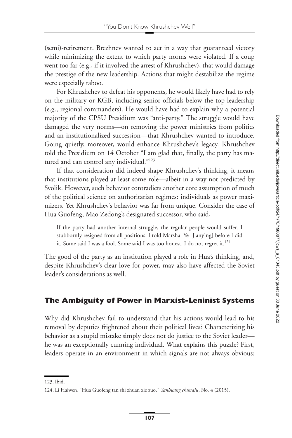(semi)-retirement. Brezhnev wanted to act in a way that guaranteed victory while minimizing the extent to which party norms were violated. If a coup went too far (e.g., if it involved the arrest of Khrushchev), that would damage the prestige of the new leadership. Actions that might destabilize the regime were especially taboo.

For Khrushchev to defeat his opponents, he would likely have had to rely on the military or KGB, including senior officials below the top leadership (e.g., regional commanders). He would have had to explain why a potential majority of the CPSU Presidium was "anti-party." The struggle would have damaged the very norms—on removing the power ministries from politics and an institutionalized succession—that Khrushchev wanted to introduce. Going quietly, moreover, would enhance Khrushchev's legacy. Khrushchev told the Presidium on 14 October "I am glad that, finally, the party has matured and can control any individual."<sup>123</sup>

If that consideration did indeed shape Khrushchev's thinking, it means that institutions played at least some role—albeit in a way not predicted by Svolik. However, such behavior contradicts another core assumption of much of the political science on authoritarian regimes: individuals as power maximizers. Yet Khrushchev's behavior was far from unique. Consider the case of Hua Guofeng, Mao Zedong's designated successor, who said,

If the party had another internal struggle, the regular people would suffer. I stubbornly resigned from all positions. I told Marshal Ye [Jianying] before I did it. Some said I was a fool. Some said I was too honest. I do not regret it.<sup>124</sup>

The good of the party as an institution played a role in Hua's thinking, and, despite Khrushchev's clear love for power, may also have affected the Soviet leader's considerations as well.

## **The Ambiguity of Power in Marxist-Leninist Systems**

Why did Khrushchev fail to understand that his actions would lead to his removal by deputies frightened about their political lives? Characterizing his behavior as a stupid mistake simply does not do justice to the Soviet leader he was an exceptionally cunning individual. What explains this puzzle? First, leaders operate in an environment in which signals are not always obvious:

<span id="page-29-0"></span><sup>123.</sup> Ibid.

<span id="page-29-1"></span><sup>124.</sup> Li Haiwen, "Hua Guofeng tan shi zhuan xie zuo," *Yanhuang chunqiu*, No. 4 (2015).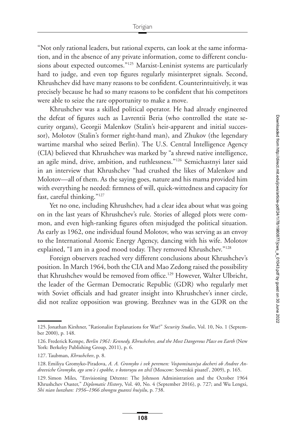"Not only rational leaders, but rational experts, can look at the same information, and in the absence of any private information, come to different conclusions about expected outcomes.["125](#page-30-0) Marxist-Leninist systems are particularly hard to judge, and even top figures regularly misinterpret signals. Second, Khrushchev did have many reasons to be confident. Counterintuitively, it was precisely because he had so many reasons to be confident that his competitors were able to seize the rare opportunity to make a move.

Khrushchev was a skilled political operator. He had already engineered the defeat of figures such as Lavrentii Beria (who controlled the state security organs), Georgii Malenkov (Stalin's heir-apparent and initial successor), Molotov (Stalin's former right-hand man), and Zhukov (the legendary wartime marshal who seized Berlin). The U.S. Central Intelligence Agency (CIA) believed that Khrushchev was marked by "a shrewd native intelligence, an agile mind, drive, ambition, and ruthlessness.["126](#page-30-1) Semichastnyi later said in an interview that Khrushchev "had crushed the likes of Malenkov and Molotov—all of them. As the saying goes, nature and his mama provided him with everything he needed: firmness of will, quick-wittedness and capacity for fast, careful thinking.["127](#page-30-2)

Yet no one, including Khrushchev, had a clear idea about what was going on in the last years of Khrushchev's rule. Stories of alleged plots were common, and even high-ranking figures often misjudged the political situation. As early as 1962, one individual found Molotov, who was serving as an envoy to the International Atomic Energy Agency, dancing with his wife. Molotov explained, "I am in a good mood today. They removed Khrushchev.["128](#page-30-3)

Foreign observers reached very different conclusions about Khrushchev's position. In March 1964, both the CIA and Mao Zedong raised the possibility that Khrushchev would be removed from office.<sup>129</sup> However, Walter Ulbricht, the leader of the German Democratic Republic (GDR) who regularly met with Soviet officials and had greater insight into Khrushchev's inner circle, did not realize opposition was growing. Brezhnev was in the GDR on the

<span id="page-30-0"></span><sup>125.</sup> Jonathan Kirshner, "Rationalist Explanations for War?" *Security Studies*, Vol. 10, No. 1 (September 2000), p. 148.

<span id="page-30-1"></span><sup>126.</sup> Frederick Kempe, *Berlin 1961: Kennedy, Khrushchev, and the Most Dangerous Place on Earth* (New York: Berkeley Publishing Group, 2011), p. 6.

<span id="page-30-2"></span><sup>127.</sup> Taubman, *Khrushchev*, p. 8.

<span id="page-30-3"></span><sup>128.</sup> Emiliya Gromyko-Piradova, *A. A. Gromyko i vek peremen: Vospominaniya docheri ob Andree Andreeviche Gromyko, ego sem'e i epokhe, v kotoruyu on zhil* (Moscow: Sovetskii pisatel', 2009), p. 165.

<span id="page-30-4"></span><sup>129.</sup> Simon Miles, "Envisioning Détente: The Johnson Administration and the October 1964 Khrushchev Ouster," *Diplomatic History*, Vol. 40, No. 4 (September 2016), p. 727; and Wu Lengxi, *Shi nian lunzhan: 1956–1966 zhongsu guanxi huiyilu*, p. 738.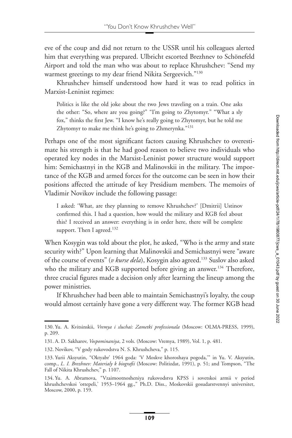eve of the coup and did not return to the USSR until his colleagues alerted him that everything was prepared. Ulbricht escorted Brezhnev to Schönefeld Airport and told the man who was about to replace Khrushchev: "Send my warmest greetings to my dear friend Nikita Sergeevich."<sup>130</sup>

Khrushchev himself understood how hard it was to read politics in Marxist-Leninist regimes:

Politics is like the old joke about the two Jews traveling on a train. One asks the other: "So, where are you going?" "I'm going to Zhytomyr." "What a sly fox," thinks the first Jew. "I know he's really going to Zhytomyr, but he told me Zhytomyr to make me think he's going to Zhmerynka.["131](#page-31-1)

Perhaps one of the most significant factors causing Khrushchev to overestimate his strength is that he had good reason to believe two individuals who operated key nodes in the Marxist-Leninist power structure would support him: Semichastnyi in the KGB and Malinovskii in the military. The importance of the KGB and armed forces for the outcome can be seen in how their positions affected the attitude of key Presidium members. The memoirs of Vladimir Novikov include the following passage:

I asked: 'What, are they planning to remove Khrushchev?' [Dmitrii] Ustinov confirmed this. I had a question, how would the military and KGB feel about this? I received an answer: everything is in order here, there will be complete support. Then I agreed.<sup>132</sup>

When Kosygin was told about the plot, he asked, "Who is the army and state security with?" Upon learning that Malinovskii and Semichastnyi were "aware of the course of events" (*v kurse dela*), Kosygin also agreed[.133](#page-31-3) Suslov also asked who the military and KGB supported before giving an answer.<sup>134</sup> Therefore, three crucial figures made a decision only after learning the lineup among the power ministries.

If Khrushchev had been able to maintain Semichastnyi's loyalty, the coup would almost certainly have gone a very different way. The former KGB head

<span id="page-31-0"></span><sup>130.</sup> Yu. A. Kvitsinskii, *Vremya i sluchai: Zametki professionala* (Moscow: OLMA-PRESS, 1999), p. 209.

<span id="page-31-1"></span><sup>131.</sup> A. D. Sakharov, *Vospominaniya*, 2 vols. (Moscow: Vremya, 1989), Vol. 1, p. 481.

<span id="page-31-2"></span><sup>132.</sup> Novikov, "V gody rukovodstva N. S. Khrushcheva," p. 115.

<span id="page-31-3"></span><sup>133.</sup> Yurii Aksyutin, "Oktyabr' 1964 goda: 'V Moskve khoroshaya pogoda,'" in Yu. V. Aksyutin, comp., *L. I. Brezhnev: Materialy k biografii* (Moscow: Politizdat, 1991), p. 51; and Tompson, "The Fall of Nikita Khrushchev," p. 1107.

<span id="page-31-4"></span><sup>134.</sup> Yu. A. Abramova, "Vzaimootnosheniya rukovodstva KPSS i sovetskoi armii v period khrushchevskoi 'ottepeli,' 1953–1964 gg.," Ph.D. Diss., Moskovskii gosudarstvennyi universitet, Moscow, 2000, p. 159.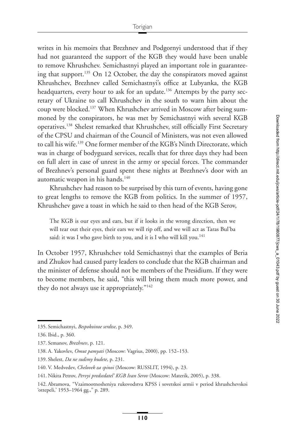writes in his memoirs that Brezhnev and Podgornyi understood that if they had not guaranteed the support of the KGB they would have been unable to remove Khrushchev. Semichastnyi played an important role in guaranteeing that support.<sup>135</sup> On 12 October, the day the conspirators moved against Khrushchev, Brezhnev called Semichastnyi's office at Lubyanka, the KGB headquarters, every hour to ask for an update.<sup>136</sup> Attempts by the party secretary of Ukraine to call Khrushchev in the south to warn him about the coup were blocked[.137](#page-32-2) When Khrushchev arrived in Moscow after being summoned by the conspirators, he was met by Semichastnyi with several KGB operatives[.138](#page-32-3) Shelest remarked that Khrushchev, still officially First Secretary of the CPSU and chairman of the Council of Ministers, was not even allowed to call his wife[.139](#page-32-4) One former member of the KGB's Ninth Directorate, which was in charge of bodyguard services, recalls that for three days they had been on full alert in case of unrest in the army or special forces. The commander of Brezhnev's personal guard spent these nights at Brezhnev's door with an automatic weapon in his hands.<sup>140</sup>

Khrushchev had reason to be surprised by this turn of events, having gone to great lengths to remove the KGB from politics. In the summer of 1957, Khrushchev gave a toast in which he said to then head of the KGB Serov,

The KGB is our eyes and ears, but if it looks in the wrong direction, then we will tear out their eyes, their ears we will rip off, and we will act as Taras Bul'ba said: it was I who gave birth to you, and it is I who will kill you.<sup>141</sup>

In October 1957, Khrushchev told Semichastnyi that the examples of Beria and Zhukov had caused party leaders to conclude that the KGB chairman and the minister of defense should not be members of the Presidium. If they were to become members, he said, "this will bring them much more power, and they do not always use it appropriately.["142](#page-32-7)

<span id="page-32-0"></span><sup>135.</sup> Semichastnyi, *Bespokoinoe serdtse*, p. 349.

<span id="page-32-1"></span><sup>136.</sup> Ibid., p. 360.

<span id="page-32-2"></span><sup>137.</sup> Semanov, *Brezhnev*, p. 121.

<span id="page-32-3"></span><sup>138.</sup> A. Yakovlev, *Omut pamyati* (Moscow: Vagrius, 2000), pp. 152–153.

<span id="page-32-4"></span><sup>139.</sup> Shelest, *Da ne sudimy budete*, p. 231.

<span id="page-32-5"></span><sup>140.</sup> V. Medvedev, *Chelovek za spinoi* (Moscow: RUSSLIT, 1994), p. 23.

<span id="page-32-6"></span><sup>141.</sup> Nikita Petrov, *Pervyi predsedatel' KGB Ivan Serov* (Moscow: Materik, 2005), p. 338.

<span id="page-32-7"></span><sup>142.</sup> Abramova, "Vzaimootnosheniya rukovodstva KPSS i sovetskoi armii v period khrushchevskoi 'ottepeli,' 1953–1964 gg.," p. 289.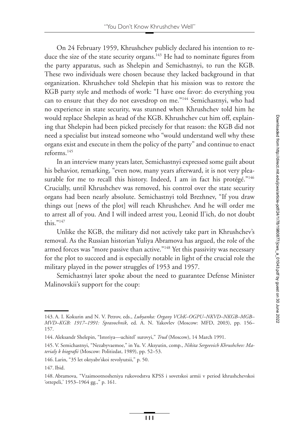On 24 February 1959, Khrushchev publicly declared his intention to reduce the size of the state security organs.<sup>143</sup> He had to nominate figures from the party apparatus, such as Shelepin and Semichastnyi, to run the KGB. These two individuals were chosen because they lacked background in that organization. Khrushchev told Shelepin that his mission was to restore the KGB party style and methods of work: "I have one favor: do everything you can to ensure that they do not eavesdrop on me."<sup>144</sup> Semichastnyi, who had no experience in state security, was stunned when Khrushchev told him he would replace Shelepin as head of the KGB. Khrushchev cut him off, explaining that Shelepin had been picked precisely for that reason: the KGB did not need a specialist but instead someone who "would understand well why these organs exist and execute in them the policy of the party" and continue to enact reforms[.145](#page-33-2)

In an interview many years later, Semichastnyi expressed some guilt about his behavior, remarking, "even now, many years afterward, it is not very pleasurable for me to recall this history. Indeed, I am in fact his protégé."<sup>146</sup> Crucially, until Khrushchev was removed, his control over the state security organs had been nearly absolute. Semichastnyi told Brezhnev, "If you draw things out [news of the plot] will reach Khrushchev. And he will order me to arrest all of you. And I will indeed arrest you, Leonid Il'ich, do not doubt this."<sup>147</sup>

Unlike the KGB, the military did not actively take part in Khrushchev's removal. As the Russian historian Yuliya Abramova has argued, the role of the armed forces was "more passive than active."<sup>148</sup> Yet this passivity was necessary for the plot to succeed and is especially notable in light of the crucial role the military played in the power struggles of 1953 and 1957.

Semichastnyi later spoke about the need to guarantee Defense Minister Malinovskii's support for the coup:

<span id="page-33-0"></span><sup>143.</sup> A. I. Kokurin and N. V. Petrov, eds., *Lubyanka: Organy VChK–OGPU–NKVD–NKGB–MGB– MVD–KGB: 1917–1991: Spravochnik*, ed. A. N. Yakovlev (Moscow: MFD, 2003), pp. 156– 157.

<span id="page-33-2"></span><span id="page-33-1"></span><sup>144.</sup> Aleksandr Shelepin, "Istoriya—uchitel' surovyi," *Trud* (Moscow), 14 March 1991.

<sup>145.</sup> V. Semichastnyi, "Nezabyvaemoe," in Yu. V. Aksyutin, comp., *Nikita Sergeevich Khrushchev: Materialy k biografii* (Moscow: Politizdat, 1989), pp. 52–53.

<span id="page-33-3"></span><sup>146.</sup> Larin, "35 let oktyabr'skoi revolyutsii," p. 50.

<span id="page-33-4"></span><sup>147.</sup> Ibid.

<span id="page-33-5"></span><sup>148.</sup> Abramova, "Vzaimootnosheniya rukovodstva KPSS i sovetskoi armii v period khrushchevskoi 'ottepeli,' 1953–1964 gg.," p. 161.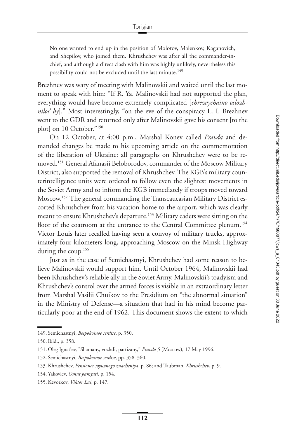No one wanted to end up in the position of Molotov, Malenkov, Kaganovich, and Shepilov, who joined them. Khrushchev was after all the commander-inchief, and although a direct clash with him was highly unlikely, nevertheless this possibility could not be excluded until the last minute.<sup>149</sup>

Brezhnev was wary of meeting with Malinovskii and waited until the last moment to speak with him: "If R. Ya. Malinovskii had not supported the plan, everything would have become extremely complicated [*chrezvychaino oslozhnilos' by*]." Most interestingly, "on the eve of the conspiracy L. I. Brezhnev went to the GDR and returned only after Malinovskii gave his consent [to the plot] on 10 October."<sup>150</sup>

On 12 October, at 4:00 p.m., Marshal Konev called *Pravda* and demanded changes be made to his upcoming article on the commemoration of the liberation of Ukraine: all paragraphs on Khrushchev were to be removed[.151](#page-34-2) General Afanasii Beloborodov, commander of the Moscow Military District, also supported the removal of Khrushchev. The KGB's military counterintelligence units were ordered to follow even the slightest movements in the Soviet Army and to inform the KGB immediately if troops moved toward Moscow[.152](#page-34-3) The general commanding the Transcaucasian Military District escorted Khrushchev from his vacation home to the airport, which was clearly meant to ensure Khrushchev's departure.<sup>153</sup> Military cadets were sitting on the floor of the coatroom at the entrance to the Central Committee plenum.<sup>154</sup> Victor Louis later recalled having seen a convoy of military trucks, approximately four kilometers long, approaching Moscow on the Minsk Highway during the coup.<sup>155</sup>

Just as in the case of Semichastnyi, Khrushchev had some reason to believe Malinovskii would support him. Until October 1964, Malinovskii had been Khrushchev's reliable ally in the Soviet Army. Malinovskii's toadyism and Khrushchev's control over the armed forces is visible in an extraordinary letter from Marshal Vasilii Chuikov to the Presidium on "the abnormal situation" in the Ministry of Defense—a situation that had in his mind become particularly poor at the end of 1962. This document shows the extent to which

<span id="page-34-0"></span><sup>149.</sup> Semichastnyi, *Bespokoinoe serdtse*, p. 350.

<span id="page-34-1"></span><sup>150.</sup> Ibid., p. 358.

<span id="page-34-2"></span><sup>151.</sup> Oleg Ignat'ev, "Shamany, vozhdi, partizany," *Pravda 5* (Moscow), 17 May 1996.

<span id="page-34-3"></span><sup>152.</sup> Semichastnyi, *Bespokoinoe serdtse*, pp. 358–360.

<span id="page-34-4"></span><sup>153.</sup> Khrushchev, *Pensioner soyuznogo znacheniya*, p. 86; and Taubman, *Khrushchev*, p. 9.

<span id="page-34-5"></span><sup>154.</sup> Yakovlev, *Omut pamyati*, p. 154.

<span id="page-34-6"></span><sup>155.</sup> Kevorkov, *Viktor Lui*, p. 147.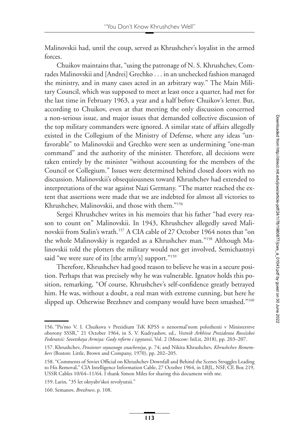Malinovskii had, until the coup, served as Khrushchev's loyalist in the armed forces.

Chuikov maintains that, "using the patronage of N. S. Khrushchev, Comrades Malinovskii and [Andrei] Grechko . . . in an unchecked fashion managed the ministry, and in many cases acted in an arbitrary way." The Main Military Council, which was supposed to meet at least once a quarter, had met for the last time in February 1963, a year and a half before Chuikov's letter. But, according to Chuikov, even at that meeting the only discussion concerned a non-serious issue, and major issues that demanded collective discussion of the top military commanders were ignored. A similar state of affairs allegedly existed in the Collegium of the Ministry of Defense, where any ideas "unfavorable" to Malinovskii and Grechko were seen as undermining "one-man command" and the authority of the minister. Therefore, all decisions were taken entirely by the minister "without accounting for the members of the Council or Collegium." Issues were determined behind closed doors with no discussion. Malinovskii's obsequiousness toward Khrushchev had extended to interpretations of the war against Nazi Germany. "The matter reached the extent that assertions were made that we are indebted for almost all victories to Khrushchev, Malinovskii, and those with them.["156](#page-35-0)

Sergei Khrushchev writes in his memoirs that his father "had every reason to count on" Malinovskii. In 1943, Khrushchev allegedly saved Malinovskii from Stalin's wrath[.157](#page-35-1) A CIA cable of 27 October 1964 notes that "on the whole Malinovskiy is regarded as a Khrushchev man.["158](#page-35-2) Although Malinovskii told the plotters the military would not get involved, Semichastnyi said "we were sure of its [the army's] support."<sup>159</sup>

Therefore, Khrushchev had good reason to believe he was in a secure position. Perhaps that was precisely why he was vulnerable. Ignatov holds this position, remarking, "Of course, Khrushchev's self-confidence greatly betrayed him. He was, without a doubt, a real man with extreme cunning, but here he slipped up. Otherwise Brezhnev and company would have been smashed."<sup>160</sup>

<span id="page-35-0"></span><sup>156. &</sup>quot;Pis'mo V. I. Chuikova v Prezidium TsK KPSS o nenormal'nom polozhenii v Ministerstve oborony SSSR," 21 October 1964, in S. V. Kudryashov, ed., *Vestnik Arkhiva Prezidenta Rossiiskoi Federatsii: Sovetskaya Armiya: Gody reform i ispytanii*, Vol. 2 (Moscow: IstLit, 2018), pp. 203–207.

<span id="page-35-1"></span><sup>157.</sup> Khrushchev, *Pensioner soyuznogo znacheniya*, p. 74; and Nikita Khrushchev, *Khrushchev Remembers* (Boston: Little, Brown and Company, 1970), pp. 202–205.

<span id="page-35-2"></span><sup>158. &</sup>quot;Comments of Soviet Official on Khrushchev Downfall and Behind the Scenes Struggles Leading to His Removal," CIA Intelligence Information Cable, 27 October 1964, in LBJL, NSF, CF, Box 219, USSR Cables 10/64–11/64. I thank Simon Miles for sharing this document with me.

<span id="page-35-3"></span><sup>159.</sup> Larin, "35 let oktyabr'skoi revolyutsii."

<span id="page-35-4"></span><sup>160.</sup> Semanov, *Brezhnev*, p. 108.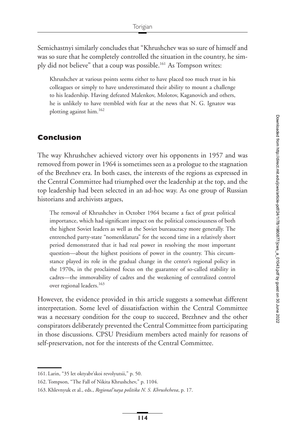Semichastnyi similarly concludes that "Khrushchev was so sure of himself and was so sure that he completely controlled the situation in the country, he simply did not believe" that a coup was possible.<sup>161</sup> As Tompson writes:

Khrushchev at various points seems either to have placed too much trust in his colleagues or simply to have underestimated their ability to mount a challenge to his leadership. Having defeated Malenkov, Molotov, Kaganovich and others, he is unlikely to have trembled with fear at the news that N. G. Ignatov was plotting against him[.162](#page-36-1)

## **Conclusion**

The way Khrushchev achieved victory over his opponents in 1957 and was removed from power in 1964 is sometimes seen as a prologue to the stagnation of the Brezhnev era. In both cases, the interests of the regions as expressed in the Central Committee had triumphed over the leadership at the top, and the top leadership had been selected in an ad-hoc way. As one group of Russian historians and archivists argues,

The removal of Khrushchev in October 1964 became a fact of great political importance, which had significant impact on the political consciousness of both the highest Soviet leaders as well as the Soviet bureaucracy more generally. The entrenched party-state "nomenklatura" for the second time in a relatively short period demonstrated that it had real power in resolving the most important question—about the highest positions of power in the country. This circumstance played its role in the gradual change in the center's regional policy in the 1970s, in the proclaimed focus on the guarantee of so-called stability in cadres—the immovability of cadres and the weakening of centralized control over regional leaders.<sup>163</sup>

However, the evidence provided in this article suggests a somewhat different interpretation. Some level of dissatisfaction within the Central Committee was a necessary condition for the coup to succeed, Brezhnev and the other conspirators deliberately prevented the Central Committee from participating in those discussions. CPSU Presidium members acted mainly for reasons of self-preservation, not for the interests of the Central Committee.

<span id="page-36-0"></span><sup>161.</sup> Larin, "35 let oktyabr'skoi revolyutsii," p. 50.

<span id="page-36-1"></span><sup>162.</sup> Tompson, "The Fall of Nikita Khrushchev," p. 1104.

<span id="page-36-2"></span><sup>163.</sup> Khlevnyuk et al., eds., *Regional'naya politika N. S. Khrushcheva*, p. 17.